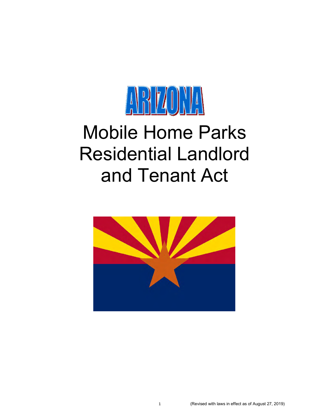

# Mobile Home Parks Residential Landlord and Tenant Act

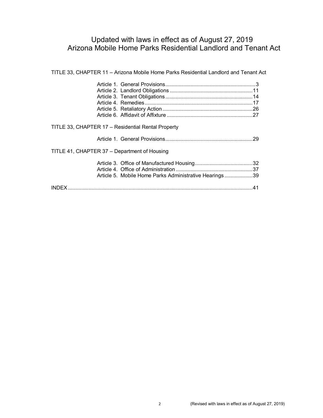# Updated with laws in effect as of August 27, 2019 Arizona Mobile Home Parks Residential Landlord and Tenant Act

| THE CO, OF INFILIATITY TO A REPORT IN THE FOLLOT CALLS INCREDIBLE LATINIUM AND TURNILLY |  |
|-----------------------------------------------------------------------------------------|--|
|                                                                                         |  |
|                                                                                         |  |
|                                                                                         |  |
|                                                                                         |  |
|                                                                                         |  |
|                                                                                         |  |
| TITLE 33, CHAPTER 17 - Residential Rental Property                                      |  |
| TITLE 41, CHAPTER 37 – Department of Housing                                            |  |
|                                                                                         |  |
|                                                                                         |  |
| Article 5. Mobile Home Parks Administrative Hearings39                                  |  |
|                                                                                         |  |
|                                                                                         |  |

TITLE 33, CHAPTER 11 – Arizona Mobile Home Parks Residential Landlord and Tenant Act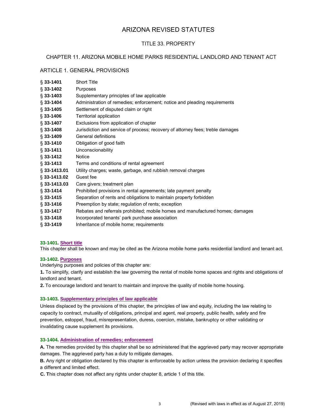# ARIZONA REVISED STATUTES

## TITLE 33. PROPERTY

## CHAPTER 11. ARIZONA MOBILE HOME PARKS RESIDENTIAL LANDLORD AND TENANT ACT

## ARTICLE 1. GENERAL PROVISIONS

| $§ 33 - 1401$   | <b>Short Title</b>                                                             |
|-----------------|--------------------------------------------------------------------------------|
| $\S$ 33-1402    | Purposes                                                                       |
| $\S$ 33-1403    | Supplementary principles of law applicable                                     |
| $$33-1404$      | Administration of remedies; enforcement; notice and pleading requirements      |
| $$33-1405$      | Settlement of disputed claim or right                                          |
| $$33-1406$      | Territorial application                                                        |
| $§ 33-1407$     | Exclusions from application of chapter                                         |
| $$33-1408$      | Jurisdiction and service of process; recovery of attorney fees; treble damages |
| $\S$ 33-1409    | General definitions                                                            |
| $§ 33 - 1410$   | Obligation of good faith                                                       |
| $$33-1411$      | Unconscionability                                                              |
| $§$ 33-1412     | <b>Notice</b>                                                                  |
| $$33-1413$      | Terms and conditions of rental agreement                                       |
| $\S$ 33-1413.01 | Utility charges; waste, garbage, and rubbish removal charges                   |
| $\S$ 33-1413.02 | Guest fee                                                                      |
| $\S$ 33-1413.03 | Care givers; treatment plan                                                    |
| $§ 33 - 1414$   | Prohibited provisions in rental agreements; late payment penalty               |
| $\S$ 33-1415    | Separation of rents and obligations to maintain property forbidden             |
| $§ 33 - 1416$   | Preemption by state; regulation of rents; exception                            |
| $§ 33 - 1417$   | Rebates and referrals prohibited; mobile homes and manufactured homes; damages |
| $\S$ 33-1418    | Incorporated tenants' park purchase association                                |
| $§ 33 - 1419$   | Inheritance of mobile home; requirements                                       |
|                 |                                                                                |

#### **33-1401. Short title**

This chapter shall be known and may be cited as the Arizona mobile home parks residential landlord and tenant act.

## **33-1402. Purposes**

Underlying purposes and policies of this chapter are:

**1.** To simplify, clarify and establish the law governing the rental of mobile home spaces and rights and obligations of landlord and tenant.

**2.** To encourage landlord and tenant to maintain and improve the quality of mobile home housing.

## **33-1403. Supplementary principles of law applicable**

Unless displaced by the provisions of this chapter, the principles of law and equity, including the law relating to capacity to contract, mutuality of obligations, principal and agent, real property, public health, safety and fire prevention, estoppel, fraud, misrepresentation, duress, coercion, mistake, bankruptcy or other validating or invalidating cause supplement its provisions.

#### **33-1404. Administration of remedies; enforcement**

**A.** The remedies provided by this chapter shall be so administered that the aggrieved party may recover appropriate damages. The aggrieved party has a duty to mitigate damages.

**B.** Any right or obligation declared by this chapter is enforceable by action unless the provision declaring it specifies a different and limited effect.

**C. T**his chapter does not affect any rights under chapter 8, article 1 of this title.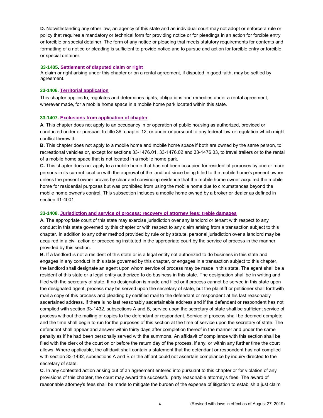**D.** Notwithstanding any other law, an agency of this state and an individual court may not adopt or enforce a rule or policy that requires a mandatory or technical form for providing notice or for pleadings in an action for forcible entry or forcible or special detainer. The form of any notice or pleading that meets statutory requirements for contents and formatting of a notice or pleading is sufficient to provide notice and to pursue and action for forcible entry or forcible or special detainer.

#### **33-1405. Settlement of disputed claim or right**

A claim or right arising under this chapter or on a rental agreement, if disputed in good faith, may be settled by agreement.

#### **33-1406. Territorial application**

This chapter applies to, regulates and determines rights, obligations and remedies under a rental agreement, wherever made, for a mobile home space in a mobile home park located within this state.

#### **33-1407. Exclusions from application of chapter**

**A.** This chapter does not apply to an occupancy in or operation of public housing as authorized, provided or conducted under or pursuant to title 36, chapter 12, or under or pursuant to any federal law or regulation which might conflict therewith.

**B.** This chapter does not apply to a mobile home and mobile home space if both are owned by the same person, to recreational vehicles or, except for sections 33-1476.01, 33-1476.02 and 33-1476.03, to travel trailers or to the rental of a mobile home space that is not located in a mobile home park.

**C.** This chapter does not apply to a mobile home that has not been occupied for residential purposes by one or more persons in its current location with the approval of the landlord since being titled to the mobile home's present owner unless the present owner proves by clear and convincing evidence that the mobile home owner acquired the mobile home for residential purposes but was prohibited from using the mobile home due to circumstances beyond the mobile home owner's control. This subsection includes a mobile home owned by a broker or dealer as defined in section 41-4001.

#### **33-1408. Jurisdiction and service of process; recovery of attorney fees; treble damages**

**A.** The appropriate court of this state may exercise jurisdiction over any landlord or tenant with respect to any conduct in this state governed by this chapter or with respect to any claim arising from a transaction subject to this chapter. In addition to any other method provided by rule or by statute, personal jurisdiction over a landlord may be acquired in a civil action or proceeding instituted in the appropriate court by the service of process in the manner provided by this section.

**B.** If a landlord is not a resident of this state or is a legal entity not authorized to do business in this state and engages in any conduct in this state governed by this chapter, or engages in a transaction subject to this chapter, the landlord shall designate an agent upon whom service of process may be made in this state. The agent shall be a resident of this state or a legal entity authorized to do business in this state. The designation shall be in writing and filed with the secretary of state. If no designation is made and filed or if process cannot be served in this state upon the designated agent, process may be served upon the secretary of state, but the plaintiff or petitioner shall forthwith mail a copy of this process and pleading by certified mail to the defendant or respondent at his last reasonably ascertained address. If there is no last reasonably ascertainable address and if the defendant or respondent has not complied with section 33-1432, subsections A and B, service upon the secretary of state shall be sufficient service of process without the mailing of copies to the defendant or respondent. Service of process shall be deemed complete and the time shall begin to run for the purposes of this section at the time of service upon the secretary of state. The defendant shall appear and answer within thirty days after completion thereof in the manner and under the same penalty as if he had been personally served with the summons. An affidavit of compliance with this section shall be filed with the clerk of the court on or before the return day of the process, if any, or within any further time the court allows. Where applicable, the affidavit shall contain a statement that the defendant or respondent has not complied with section 33-1432, subsections A and B or the affiant could not ascertain compliance by inquiry directed to the secretary of state.

**C.** In any contested action arising out of an agreement entered into pursuant to this chapter or for violation of any provisions of this chapter, the court may award the successful party reasonable attorney's fees. The award of reasonable attorney's fees shall be made to mitigate the burden of the expense of litigation to establish a just claim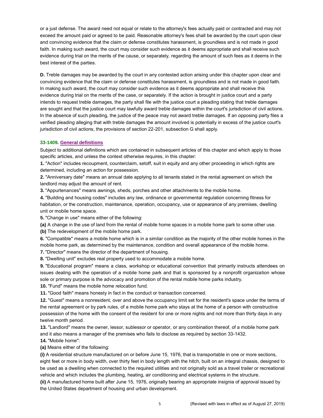or a just defense. The award need not equal or relate to the attorney's fees actually paid or contracted and may not exceed the amount paid or agreed to be paid. Reasonable attorney's fees shall be awarded by the court upon clear and convincing evidence that the claim or defense constitutes harassment, is groundless and is not made in good faith. In making such award, the court may consider such evidence as it deems appropriate and shall receive such evidence during trial on the merits of the cause, or separately, regarding the amount of such fees as it deems in the best interest of the parties.

**D.** Treble damages may be awarded by the court in any contested action arising under this chapter upon clear and convincing evidence that the claim or defense constitutes harassment, is groundless and is not made in good faith. In making such award, the court may consider such evidence as it deems appropriate and shall receive this evidence during trial on the merits of the case, or separately. If the action is brought in justice court and a party intends to request treble damages, the party shall file with the justice court a pleading stating that treble damages are sought and that the justice court may lawfully award treble damages within the court's jurisdiction of civil actions. In the absence of such pleading, the justice of the peace may not award treble damages. If an opposing party files a verified pleading alleging that with treble damages the amount involved is potentially in excess of the justice court's jurisdiction of civil actions, the provisions of section 22-201, subsection G shall apply.

#### **33-1409. General definitions**

Subject to additional definitions which are contained in subsequent articles of this chapter and which apply to those specific articles, and unless the context otherwise requires, in this chapter:

**1.** "Action" includes recoupment, counterclaim, setoff, suit in equity and any other proceeding in which rights are determined, including an action for possession.

**2.** "Anniversary date" means an annual date applying to all tenants stated in the rental agreement on which the landlord may adjust the amount of rent.

**3.** "Appurtenances" means awnings, sheds, porches and other attachments to the mobile home.

**4.** "Building and housing codes" includes any law, ordinance or governmental regulation concerning fitness for habitation, or the construction, maintenance, operation, occupancy, use or appearance of any premises, dwelling unit or mobile home space.

**5.** "Change in use" means either of the following:

**(a)** A change in the use of land from the rental of mobile home spaces in a mobile home park to some other use.

**(b)** The redevelopment of the mobile home park.

**6.** "Compatible" means a mobile home which is in a similar condition as the majority of the other mobile homes in the mobile home park, as determined by the maintenance, condition and overall appearance of the mobile home.

**7.** "Director" means the director of the department of housing.

**8.** "Dwelling unit" excludes real property used to accommodate a mobile home.

**9.** "Educational program" means a class, workshop or educational convention that primarily instructs attendees on issues dealing with the operation of a mobile home park and that is sponsored by a nonprofit organization whose sole or primary purpose is the advocacy and promotion of the rental mobile home parks industry.

**10.** "Fund" means the mobile home relocation fund.

**11.** "Good faith" means honesty in fact in the conduct or transaction concerned.

**12.** "Guest" means a nonresident, over and above the occupancy limit set for the resident's space under the terms of the rental agreement or by park rules, of a mobile home park who stays at the home of a person with constructive possession of the home with the consent of the resident for one or more nights and not more than thirty days in any twelve month period.

**13.** "Landlord" means the owner, lessor, sublessor or operator, or any combination thereof, of a mobile home park and it also means a manager of the premises who fails to disclose as required by section 33-1432.

**14.** "Mobile home":

**(a)** Means either of the following:

**(i)** A residential structure manufactured on or before June 15, 1976, that is transportable in one or more sections, eight feet or more in body width, over thirty feet in body length with the hitch, built on an integral chassis, designed to be used as a dwelling when connected to the required utilities and not originally sold as a travel trailer or recreational vehicle and which includes the plumbing, heating, air conditioning and electrical systems in the structure.

**(ii)** A manufactured home built after June 15, 1976, originally bearing an appropriate insignia of approval issued by the United States department of housing and urban development.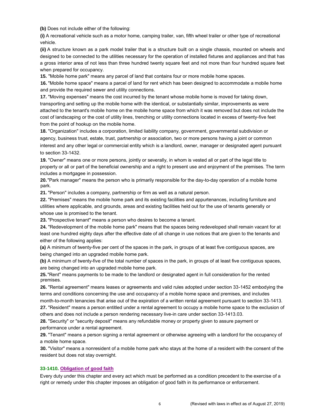**(b)** Does not include either of the following:

**(i)** A recreational vehicle such as a motor home, camping trailer, van, fifth wheel trailer or other type of recreational vehicle.

**(ii)** A structure known as a park model trailer that is a structure built on a single chassis, mounted on wheels and designed to be connected to the utilities necessary for the operation of installed fixtures and appliances and that has a gross interior area of not less than three hundred twenty square feet and not more than four hundred square feet when prepared for occupancy.

**15.** "Mobile home park" means any parcel of land that contains four or more mobile home spaces.

**16.** "Mobile home space" means a parcel of land for rent which has been designed to accommodate a mobile home and provide the required sewer and utility connections.

**17.** "Moving expenses" means the cost incurred by the tenant whose mobile home is moved for taking down, transporting and setting up the mobile home with the identical, or substantially similar, improvements as were attached to the tenant's mobile home on the mobile home space from which it was removed but does not include the cost of landscaping or the cost of utility lines, trenching or utility connections located in excess of twenty-five feet from the point of hookup on the mobile home.

**18.** "Organization" includes a corporation, limited liability company, government, governmental subdivision or agency, business trust, estate, trust, partnership or association, two or more persons having a joint or common interest and any other legal or commercial entity which is a landlord, owner, manager or designated agent pursuant to section 33-1432.

**19.** "Owner" means one or more persons, jointly or severally, in whom is vested all or part of the legal title to property or all or part of the beneficial ownership and a right to present use and enjoyment of the premises. The term includes a mortgagee in possession.

**20.**"Park manager" means the person who is primarily responsible for the day-to-day operation of a mobile home park.

**21.** "Person" includes a company, partnership or firm as well as a natural person.

**22.** "Premises" means the mobile home park and its existing facilities and appurtenances, including furniture and utilities where applicable, and grounds, areas and existing facilities held out for the use of tenants generally or whose use is promised to the tenant.

**23.** "Prospective tenant" means a person who desires to become a tenant.

**24.** "Redevelopment of the mobile home park" means that the spaces being redeveloped shall remain vacant for at least one hundred eighty days after the effective date of all change in use notices that are given to the tenants and either of the following applies:

**(a)** A minimum of twenty-five per cent of the spaces in the park, in groups of at least five contiguous spaces, are being changed into an upgraded mobile home park.

**(b)** A minimum of twenty-five of the total number of spaces in the park, in groups of at least five contiguous spaces, are being changed into an upgraded mobile home park.

**25.**"Rent" means payments to be made to the landlord or designated agent in full consideration for the rented premises.

**26.** "Rental agreement" means leases or agreements and valid rules adopted under section 33-1452 embodying the terms and conditions concerning the use and occupancy of a mobile home space and premises, and includes month-to-month tenancies that arise out of the expiration of a written rental agreement pursuant to section 33-1413.

**27.** "Resident" means a person entitled under a rental agreement to occupy a mobile home space to the exclusion of others and does not include a person rendering necessary live-in care under section 33-1413.03.

**28.** "Security" or "security deposit" means any refundable money or property given to assure payment or performance under a rental agreement.

**29.** "Tenant" means a person signing a rental agreement or otherwise agreeing with a landlord for the occupancy of a mobile home space.

**30.** "Visitor" means a nonresident of a mobile home park who stays at the home of a resident with the consent of the resident but does not stay overnight.

## **33-1410. Obligation of good faith**

Every duty under this chapter and every act which must be performed as a condition precedent to the exercise of a right or remedy under this chapter imposes an obligation of good faith in its performance or enforcement.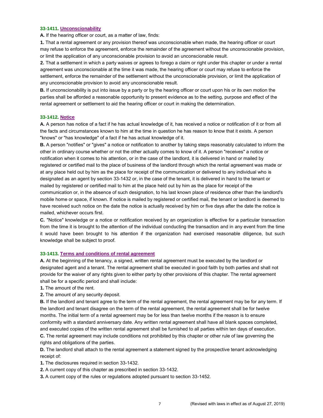#### **33-1411. Unconscionability**

**A.** If the hearing officer or court, as a matter of law, finds:

**1.** That a rental agreement or any provision thereof was unconscionable when made, the hearing officer or court may refuse to enforce the agreement, enforce the remainder of the agreement without the unconscionable provision, or limit the application of any unconscionable provision to avoid an unconscionable result.

**2.** That a settlement in which a party waives or agrees to forego a claim or right under this chapter or under a rental agreement was unconscionable at the time it was made, the hearing officer or court may refuse to enforce the settlement, enforce the remainder of the settlement without the unconscionable provision, or limit the application of any unconscionable provision to avoid any unconscionable result.

**B.** If unconscionability is put into issue by a party or by the hearing officer or court upon his or its own motion the parties shall be afforded a reasonable opportunity to present evidence as to the setting, purpose and effect of the rental agreement or settlement to aid the hearing officer or court in making the determination.

#### **33-1412. Notice**

**A.** A person has notice of a fact if he has actual knowledge of it, has received a notice or notification of it or from all the facts and circumstances known to him at the time in question he has reason to know that it exists. A person "knows" or "has knowledge" of a fact if he has actual knowledge of it.

**B.** A person "notifies" or "gives" a notice or notification to another by taking steps reasonably calculated to inform the other in ordinary course whether or not the other actually comes to know of it. A person "receives" a notice or notification when it comes to his attention, or in the case of the landlord, it is delivered in hand or mailed by registered or certified mail to the place of business of the landlord through which the rental agreement was made or at any place held out by him as the place for receipt of the communication or delivered to any individual who is designated as an agent by section 33-1432 or, in the case of the tenant, it is delivered in hand to the tenant or mailed by registered or certified mail to him at the place held out by him as the place for receipt of the communication or, in the absence of such designation, to his last known place of residence other than the landlord's mobile home or space, if known. If notice is mailed by registered or certified mail, the tenant or landlord is deemed to have received such notice on the date the notice is actually received by him or five days after the date the notice is mailed, whichever occurs first.

**C.** "Notice" knowledge or a notice or notification received by an organization is effective for a particular transaction from the time it is brought to the attention of the individual conducting the transaction and in any event from the time it would have been brought to his attention if the organization had exercised reasonable diligence, but such knowledge shall be subject to proof.

#### **33-1413. Terms and conditions of rental agreement**

**A.** At the beginning of the tenancy, a signed, written rental agreement must be executed by the landlord or designated agent and a tenant. The rental agreement shall be executed in good faith by both parties and shall not provide for the waiver of any rights given to either party by other provisions of this chapter. The rental agreement shall be for a specific period and shall include:

**1.** The amount of the rent.

**2.** The amount of any security deposit.

**B.** If the landlord and tenant agree to the term of the rental agreement, the rental agreement may be for any term. If the landlord and tenant disagree on the term of the rental agreement, the rental agreement shall be for twelve months. The initial term of a rental agreement may be for less than twelve months if the reason is to ensure conformity with a standard anniversary date. Any written rental agreement shall have all blank spaces completed, and executed copies of the written rental agreement shall be furnished to all parties within ten days of execution.

**C.** The rental agreement may include conditions not prohibited by this chapter or other rule of law governing the rights and obligations of the parties.

**D.** The landlord shall attach to the rental agreement a statement signed by the prospective tenant acknowledging receipt of:

**1.** The disclosures required in section 33-1432.

**2.** A current copy of this chapter as prescribed in section 33-1432.

**3.** A current copy of the rules or regulations adopted pursuant to section 33-1452.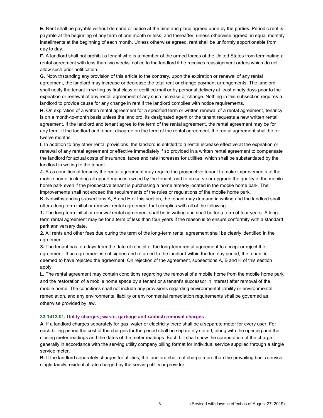**E.** Rent shall be payable without demand or notice at the time and place agreed upon by the parties. Periodic rent is payable at the beginning of any term of one month or less, and thereafter, unless otherwise agreed, in equal monthly installments at the beginning of each month. Unless otherwise agreed, rent shall be uniformly apportionable from day to day.

**F.** A landlord shall not prohibit a tenant who is a member of the armed forces of the United States from terminating a rental agreement with less than two weeks' notice to the landlord if he receives reassignment orders which do not allow such prior notification.

**G.** Notwithstanding any provision of this article to the contrary, upon the expiration or renewal of any rental agreement, the landlord may increase or decrease the total rent or change payment arrangements. The landlord shall notify the tenant in writing by first class or certified mail or by personal delivery at least ninety days prior to the expiration or renewal of any rental agreement of any such increase or change. Nothing in this subsection requires a landlord to provide cause for any change in rent if the landlord complies with notice requirements.

**H.** On expiration of a written rental agreement for a specified term or written renewal of a rental agreement, tenancy is on a month-to-month basis unless the landlord, its designated agent or the tenant requests a new written rental agreement. If the landlord and tenant agree to the term of the rental agreement, the rental agreement may be for any term. If the landlord and tenant disagree on the term of the rental agreement, the rental agreement shall be for twelve months.

**I.** In addition to any other rental provisions, the landlord is entitled to a rental increase effective at the expiration or renewal of any rental agreement or effective immediately if so provided in a written rental agreement to compensate the landlord for actual costs of insurance, taxes and rate increases for utilities, which shall be substantiated by the landlord in writing to the tenant.

**J.** As a condition of tenancy the rental agreement may require the prospective tenant to make improvements to the mobile home, including all appurtenances owned by the tenant, and to preserve or upgrade the quality of the mobile home park even if the prospective tenant is purchasing a home already located in the mobile home park. The improvements shall not exceed the requirements of the rules or regulations of the mobile home park.

**K.** Notwithstanding subsections A, B and H of this section, the tenant may demand in writing and the landlord shall offer a long-term initial or renewal rental agreement that complies with all of the following:

**1.** The long-term initial or renewal rental agreement shall be in writing and shall be for a term of four years. A longterm rental agreement may be for a term of less than four years if the reason is to ensure conformity with a standard park anniversary date.

**2.** All rents and other fees due during the term of the long-term rental agreement shall be clearly identified in the agreement.

**3.** The tenant has ten days from the date of receipt of the long-term rental agreement to accept or reject the agreement. If an agreement is not signed and returned to the landlord within the ten day period, the tenant is deemed to have rejected the agreement. On rejection of the agreement, subsections A, B and H of this section apply.

**L.** The rental agreement may contain conditions regarding the removal of a mobile home from the mobile home park and the restoration of a mobile home space by a tenant or a tenant's successor in interest after removal of the mobile home. The conditions shall not include any provisions regarding environmental liability or environmental remediation, and any environmental liability or environmental remediation requirements shall be governed as otherwise provided by law.

#### **33-1413.01. Utility charges; waste, garbage and rubbish removal charges**

**A.** If a landlord charges separately for gas, water or electricity there shall be a separate meter for every user. For each billing period the cost of the charges for the period shall be separately stated, along with the opening and the closing meter readings and the dates of the meter readings. Each bill shall show the computation of the charge generally in accordance with the serving utility company billing format for individual service supplied through a single service meter.

**B.** If the landlord separately charges for utilities, the landlord shall not charge more than the prevailing basic service single family residential rate charged by the serving utility or provider.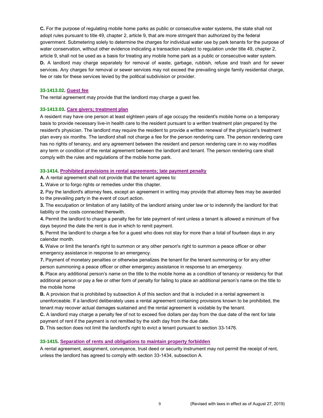**C.** For the purpose of regulating mobile home parks as public or consecutive water systems, the state shall not adopt rules pursuant to title 49, chapter 2, article 9, that are more stringent than authorized by the federal government. Submetering solely to determine the charges for individual water use by park tenants for the purpose of water conservation, without other evidence indicating a transaction subject to regulation under title 49, chapter 2, article 9, shall not be used as a basis for treating any mobile home park as a public or consecutive water system. **D.** A landlord may charge separately for removal of waste, garbage, rubbish, refuse and trash and for sewer services. Any charges for removal or sewer services may not exceed the prevailing single family residential charge, fee or rate for these services levied by the political subdivision or provider.

#### **33-1413.02. Guest fee**

The rental agreement may provide that the landlord may charge a guest fee.

#### **33-1413.03. Care givers; treatment plan**

A resident may have one person at least eighteen years of age occupy the resident's mobile home on a temporary basis to provide necessary live-in health care to the resident pursuant to a written treatment plan prepared by the resident's physician. The landlord may require the resident to provide a written renewal of the physician's treatment plan every six months. The landlord shall not charge a fee for the person rendering care. The person rendering care has no rights of tenancy, and any agreement between the resident and person rendering care in no way modifies any term or condition of the rental agreement between the landlord and tenant. The person rendering care shall comply with the rules and regulations of the mobile home park.

#### **33-1414. Prohibited provisions in rental agreements; late payment penalty**

**A.** A rental agreement shall not provide that the tenant agrees to:

**1.** Waive or to forgo rights or remedies under this chapter.

**2.** Pay the landlord's attorney fees, except an agreement in writing may provide that attorney fees may be awarded to the prevailing party in the event of court action.

**3.** The exculpation or limitation of any liability of the landlord arising under law or to indemnify the landlord for that liability or the costs connected therewith.

**4.** Permit the landlord to charge a penalty fee for late payment of rent unless a tenant is allowed a minimum of five days beyond the date the rent is due in which to remit payment.

**5.** Permit the landlord to charge a fee for a guest who does not stay for more than a total of fourteen days in any calendar month.

**6.** Waive or limit the tenant's right to summon or any other person's right to summon a peace officer or other emergency assistance in response to an emergency.

**7.** Payment of monetary penalties or otherwise penalizes the tenant for the tenant summoning or for any other person summoning a peace officer or other emergency assistance in response to an emergency.

**8.** Place any additional person's name on the title to the mobile home as a condition of tenancy or residency for that additional person or pay a fee or other form of penalty for failing to place an additional person's name on the title to the mobile home

**B.** A provision that is prohibited by subsection A of this section and that is included in a rental agreement is unenforceable. If a landlord deliberately uses a rental agreement containing provisions known to be prohibited, the tenant may recover actual damages sustained and the rental agreement is voidable by the tenant.

**C.** A landlord may charge a penalty fee of not to exceed five dollars per day from the due date of the rent for late payment of rent if the payment is not remitted by the sixth day from the due date.

**D.** This section does not limit the landlord's right to evict a tenant pursuant to section 33-1476.

#### **33-1415. Separation of rents and obligations to maintain property forbidden**

A rental agreement, assignment, conveyance, trust deed or security instrument may not permit the receipt of rent, unless the landlord has agreed to comply with section 33-1434, subsection A.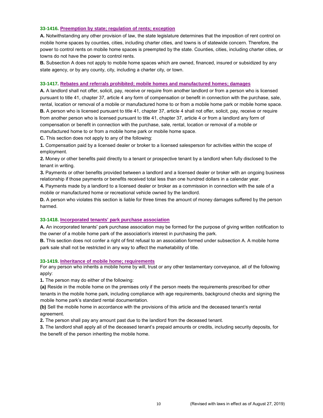#### **33-1416. Preemption by state; regulation of rents; exception**

**A.** Notwithstanding any other provision of law, the state legislature determines that the imposition of rent control on mobile home spaces by counties, cities, including charter cities, and towns is of statewide concern. Therefore, the power to control rents on mobile home spaces is preempted by the state. Counties, cities, including charter cities, or towns do not have the power to control rents.

**B.** Subsection A does not apply to mobile home spaces which are owned, financed, insured or subsidized by any state agency, or by any county, city, including a charter city, or town.

#### **33-1417. Rebates and referrals prohibited; mobile homes and manufactured homes; damages**

**A.** A landlord shall not offer, solicit, pay, receive or require from another landlord or from a person who is licensed pursuant to title 41, chapter 37, article 4 any form of compensation or benefit in connection with the purchase, sale, rental, location or removal of a mobile or manufactured home to or from a mobile home park or mobile home space. **B.** A person who is licensed pursuant to title 41, chapter 37, article 4 shall not offer, solicit, pay, receive or require from another person who is licensed pursuant to title 41, chapter 37, article 4 or from a landlord any form of compensation or benefit in connection with the purchase, sale, rental, location or removal of a mobile or manufactured home to or from a mobile home park or mobile home space.

**C.** This section does not apply to any of the following:

**1.** Compensation paid by a licensed dealer or broker to a licensed salesperson for activities within the scope of employment.

**2.** Money or other benefits paid directly to a tenant or prospective tenant by a landlord when fully disclosed to the tenant in writing.

**3.** Payments or other benefits provided between a landlord and a licensed dealer or broker with an ongoing business relationship if those payments or benefits received total less than one hundred dollars in a calendar year.

**4.** Payments made by a landlord to a licensed dealer or broker as a commission in connection with the sale of a mobile or manufactured home or recreational vehicle owned by the landlord.

**D.** A person who violates this section is liable for three times the amount of money damages suffered by the person harmed.

#### **33-1418. Incorporated tenants' park purchase association**

**A.** An incorporated tenants' park purchase association may be formed for the purpose of giving written notification to the owner of a mobile home park of the association's interest in purchasing the park.

**B.** This section does not confer a right of first refusal to an association formed under subsection A. A mobile home park sale shall not be restricted in any way to affect the marketability of title.

#### **33-1419. Inheritance of mobile home; requirements**

For any person who inherits a mobile home by will, trust or any other testamentary conveyance, all of the following apply:

**1.** The person may do either of the following:

**(a)** Reside in the mobile home on the premises only if the person meets the requirements prescribed for other tenants in the mobile home park, including compliance with age requirements, background checks and signing the mobile home park's standard rental documentation.

**(b)** Sell the mobile home in accordance with the provisions of this article and the deceased tenant's rental agreement.

**2.** The person shall pay any amount past due to the landlord from the deceased tenant.

**3.** The landlord shall apply all of the deceased tenant's prepaid amounts or credits, including security deposits, for the benefit of the person inheriting the mobile home.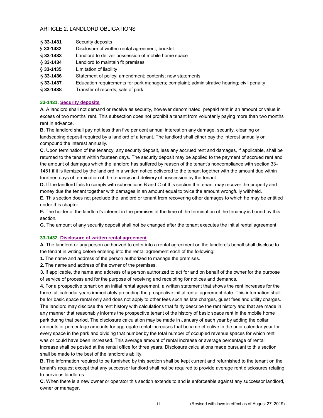## ARTICLE 2. LANDLORD OBLIGATIONS

| $§$ 33-1431   | Security deposits                                                                          |
|---------------|--------------------------------------------------------------------------------------------|
| $\S$ 33-1432  | Disclosure of written rental agreement; booklet                                            |
| $\S$ 33-1433  | Landlord to deliver possession of mobile home space                                        |
| $§ 33 - 1434$ | Landlord to maintain fit premises                                                          |
| $$33-1435$    | Limitation of liability                                                                    |
| $$33-1436$    | Statement of policy; amendment; contents; new statements                                   |
| $§ 33 - 1437$ | Education requirements for park managers; complaint; administrative hearing; civil penalty |
| $$33-1438$    | Transfer of records; sale of park                                                          |

## **33-1431. Security deposits**

**A.** A landlord shall not demand or receive as security, however denominated, prepaid rent in an amount or value in excess of two months' rent. This subsection does not prohibit a tenant from voluntarily paying more than two months' rent in advance.

**B.** The landlord shall pay not less than five per cent annual interest on any damage, security, cleaning or landscaping deposit required by a landlord of a tenant. The landlord shall either pay the interest annually or compound the interest annually.

**C.** Upon termination of the tenancy, any security deposit, less any accrued rent and damages, if applicable, shall be returned to the tenant within fourteen days. The security deposit may be applied to the payment of accrued rent and the amount of damages which the landlord has suffered by reason of the tenant's noncompliance with section 33- 1451 if it is itemized by the landlord in a written notice delivered to the tenant together with the amount due within fourteen days of termination of the tenancy and delivery of possession by the tenant.

**D.** If the landlord fails to comply with subsections B and C of this section the tenant may recover the property and money due the tenant together with damages in an amount equal to twice the amount wrongfully withheld.

**E.** This section does not preclude the landlord or tenant from recovering other damages to which he may be entitled under this chapter.

**F.** The holder of the landlord's interest in the premises at the time of the termination of the tenancy is bound by this section.

**G.** The amount of any security deposit shall not be changed after the tenant executes the initial rental agreement.

## **33-1432. Disclosure of written rental agreement**

**A.** The landlord or any person authorized to enter into a rental agreement on the landlord's behalf shall disclose to the tenant in writing before entering into the rental agreement each of the following:

**1.** The name and address of the person authorized to manage the premises.

**2.** The name and address of the owner of the premises.

**3.** If applicable, the name and address of a person authorized to act for and on behalf of the owner for the purpose of service of process and for the purpose of receiving and receipting for notices and demands.

**4.** For a prospective tenant on an initial rental agreement, a written statement that shows the rent increases for the three full calendar years immediately preceding the prospective initial rental agreement date. This information shall be for basic space rental only and does not apply to other fees such as late charges, guest fees and utility charges. The landlord may disclose the rent history with calculations that fairly describe the rent history and that are made in any manner that reasonably informs the prospective tenant of the history of basic space rent in the mobile home park during that period. The disclosure calculation may be made in January of each year by adding the dollar amounts or percentage amounts for aggregate rental increases that became effective in the prior calendar year for every space in the park and dividing that number by the total number of occupied revenue spaces for which rent was or could have been increased. This average amount of rental increase or average percentage of rental increase shall be posted at the rental office for three years. Disclosure calculations made pursuant to this section shall be made to the best of the landlord's ability.

**B.** The information required to be furnished by this section shall be kept current and refurnished to the tenant on the tenant's request except that any successor landlord shall not be required to provide average rent disclosures relating to previous landlords.

**C.** When there is a new owner or operator this section extends to and is enforceable against any successor landlord, owner or manager.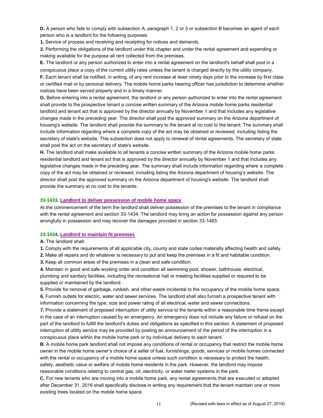**D.** A person who fails to comply with subsection A, paragraph 1, 2 or 3 or subsection B becomes an agent of each person who is a landlord for the following purposes:

**1.** Service of process and receiving and receipting for notices and demands.

**2.** Performing the obligations of the landlord under this chapter and under the rental agreement and expending or making available for the purpose all rent collected from the premises.

**E.** The landlord or any person authorized to enter into a rental agreement on the landlord's behalf shall post in a conspicuous place a copy of the current utility rates unless the tenant is charged directly by the utility company. **F.** Each tenant shall be notified, in writing, of any rent increase at least ninety days prior to the increase by first class or certified mail or by personal delivery. The mobile home parks hearing officer has jurisdiction to determine whether notices have been served properly and in a timely manner.

**G.** Before entering into a rental agreement, the landlord or any person authorized to enter into the rental agreement shall provide to the prospective tenant a concise written summary of the Arizona mobile home parks residential landlord and tenant act that is approved by the director annually by November 1 and that includes any legislative changes made in the preceding year. The director shall post the approved summary on the Arizona department of housing's website. The landlord shall provide the summary to the tenant at no cost to the tenant. The summary shall include information regarding where a complete copy of the act may be obtained or reviewed, including listing the secretary of state's website. This subsection does not apply to renewal of rental agreements. The secretary of state shall post the act on the secretary of state's website.

**H.** The landlord shall make available to all tenants a concise written summary of the Arizona mobile home parks residential landlord and tenant act that is approved by the director annually by November 1 and that includes any legislative changes made in the preceding year. The summary shall include information regarding where a complete copy of the act may be obtained or reviewed, including listing the Arizona department of housing's website. The director shall post the approved summary on the Arizona department of housing's website. The landlord shall provide the summary at no cost to the tenants.

#### **33-1433. Landlord to deliver possession of mobile home space**

At the commencement of the term the landlord shall deliver possession of the premises to the tenant in compliance with the rental agreement and section 33-1434. The landlord may bring an action for possession against any person wrongfully in possession and may recover the damages provided in section 33-1483.

#### **33-1434. Landlord to maintain fit premises**

**A.** The landlord shall:

**1.** Comply with the requirements of all applicable city, county and state codes materially affecting health and safety.

**2.** Make all repairs and do whatever is necessary to put and keep the premises in a fit and habitable condition.

**3.** Keep all common areas of the premises in a clean and safe condition.

**4.** Maintain in good and safe working order and condition all swimming pool, shower, bathhouse, electrical, plumbing and sanitary facilities, including the recreational hall or meeting facilities supplied or required to be supplied or maintained by the landlord.

**5.** Provide for removal of garbage, rubbish, and other waste incidental to the occupancy of the mobile home space. **6.** Furnish outlets for electric, water and sewer services. The landlord shall also furnish a prospective tenant with information concerning the type, size and power rating of all electrical, water and sewer connections.

**7.** Provide a statement of proposed interruption of utility service to the tenants within a reasonable time frame except in the case of an interruption caused by an emergency. An emergency does not include any failure or refusal on the part of the landlord to fulfill the landlord's duties and obligations as specified in this section. A statement of proposed interruption of utility service may be provided by posting an announcement of the period of the interruption in a conspicuous place within the mobile home park or by individual delivery to each tenant.

**B.** A mobile home park landlord shall not impose any conditions of rental or occupancy that restrict the mobile home owner in the mobile home owner's choice of a seller of fuel, furnishings, goods, services or mobile homes connected with the rental or occupancy of a mobile home space unless such condition is necessary to protect the health, safety, aesthetic value or welfare of mobile home residents in the park. However, the landlord may impose reasonable conditions relating to central gas, oil, electricity, or water meter systems in the park.

**C.** For new tenants who are moving into a mobile home park, any rental agreements that are executed or adopted after December 31, 2016 shall specifically disclose in writing any requirement that the tenant maintain one or more existing trees located on the mobile home space.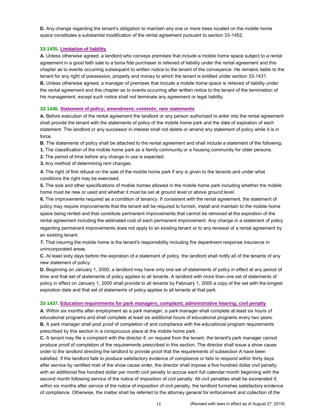**D.** Any change regarding the tenant's obligation to maintain any one or more trees located on the mobile home space constitutes a substantial modification of the rental agreement pursuant to section 33-1452.

## **33-1435. Limitation of liability**

**A.** Unless otherwise agreed, a landlord who conveys premises that include a mobile home space subject to a rental agreement in a good faith sale to a bona fide purchaser is relieved of liability under the rental agreement and this chapter as to events occurring subsequent to written notice to the tenant of the conveyance. He remains liable to the tenant for any right of possession, property and money to which the tenant is entitled under section 33-1431. **B.** Unless otherwise agreed, a manager of premises that include a mobile home space is relieved of liability under the rental agreement and this chapter as to events occurring after written notice to the tenant of the termination of his management, except such notice shall not terminate any agreement or legal liability.

## **33-1436. Statement of policy; amendment; contents; new statements**

**A.** Before execution of the rental agreement the landlord or any person authorized to enter into the rental agreement shall provide the tenant with the statements of policy of the mobile home park and the date of expiration of each statement. The landlord or any successor in interest shall not delete or amend any statement of policy while it is in force.

**B.** The statements of policy shall be attached to the rental agreement and shall include a statement of the following:

- **1.** The classification of the mobile home park as a family community or a housing community for older persons.
- **2.** The period of time before any change in use is expected.
- **3.** Any method of determining rent changes.

**4.** The right of first refusal on the sale of the mobile home park if any is given to the tenants and under what conditions the right may be exercised.

**5.** The size and other specifications of mobile homes allowed in the mobile home park including whether the mobile home must be new or used and whether it must be set at ground level or above ground level.

**6.** The improvements required as a condition of tenancy. If consistent with the rental agreement, the statement of policy may require improvements that the tenant will be required to furnish, install and maintain to the mobile home space being rented and that constitute permanent improvements that cannot be removed at the expiration of the rental agreement including the estimated cost of each permanent improvement. Any change in a statement of policy regarding permanent improvements does not apply to an existing tenant or to any renewal of a rental agreement by an existing tenant.

**7.** That insuring the mobile home is the tenant's responsibility including fire department response insurance in unincorporated areas.

**C.** At least sixty days before the expiration of a statement of policy, the landlord shall notify all of the tenants of any new statement of policy.

**D.** Beginning on January 1, 2000, a landlord may have only one set of statements of policy in effect at any period of time and that set of statements of policy applies to all tenants. A landlord with more than one set of statements of policy in effect on January 1, 2000 shall provide to all tenants by February 1, 2000 a copy of the set with the longest expiration date and that set of statements of policy applies to all tenants at that park.

## **33-1437. Education requirements for park managers; complaint; administrative hearing; civil penalty**

**A.** Within six months after employment as a park manager, a park manager shall complete at least six hours of educational programs and shall complete at least six additional hours of educational programs every two years. **B.** A park manager shall post proof of completion of and compliance with the educational program requirements prescribed by this section in a conspicuous place at the mobile home park.

**C.** A tenant may file a complaint with the director if, on request from the tenant, the tenant's park manager cannot produce proof of completion of the requirements prescribed in this section. The director shall issue a show cause order to the landlord directing the landlord to provide proof that the requirements of subsection A have been satisfied. If the landlord fails to produce satisfactory evidence of compliance or fails to respond within thirty days after service by certified mail of the show cause order, the director shall impose a five hundred dollar civil penalty, with an additional five hundred dollar per month civil penalty to accrue each full calendar month beginning with the second month following service of the notice of imposition of civil penalty. All civil penalties shall be exonerated if, within six months after service of the notice of imposition of civil penalty, the landlord furnishes satisfactory evidence of compliance. Otherwise, the matter shall be referred to the attorney general for enforcement and collection of the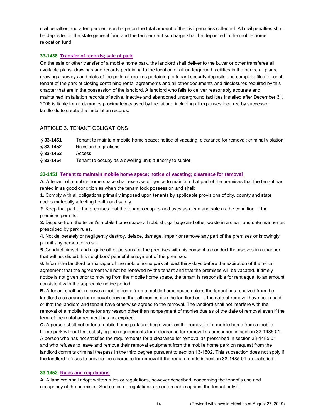civil penalties and a ten per cent surcharge on the total amount of the civil penalties collected. All civil penalties shall be deposited in the state general fund and the ten per cent surcharge shall be deposited in the mobile home relocation fund.

#### **33-1438. Transfer of records; sale of park**

On the sale or other transfer of a mobile home park, the landlord shall deliver to the buyer or other transferee all available plans, drawings and records pertaining to the location of all underground facilities in the parks, all plans, drawings, surveys and plats of the park, all records pertaining to tenant security deposits and complete files for each tenant of the park at closing containing rental agreements and all other documents and disclosures required by this chapter that are in the possession of the landlord. A landlord who fails to deliver reasonably accurate and maintained installation records of active, inactive and abandoned underground facilities installed after December 31, 2006 is liable for all damages proximately caused by the failure, including all expenses incurred by successor landlords to create the installation records.

## ARTICLE 3. TENANT OBLIGATIONS

| $§ 33 - 1451$ | Tenant to maintain mobile home space; notice of vacating; clearance for removal; criminal violation |
|---------------|-----------------------------------------------------------------------------------------------------|
| § 33-1452     | Rules and regulations                                                                               |
| $$33-1453$    | Access                                                                                              |
| $§ 33 - 1454$ | Tenant to occupy as a dwelling unit; authority to sublet                                            |

#### **33-1451. Tenant to maintain mobile home space; notice of vacating; clearance for removal**

**A.** A tenant of a mobile home space shall exercise diligence to maintain that part of the premises that the tenant has rented in as good condition as when the tenant took possession and shall:

**1.** Comply with all obligations primarily imposed upon tenants by applicable provisions of city, county and state codes materially affecting health and safety.

**2.** Keep that part of the premises that the tenant occupies and uses as clean and safe as the condition of the premises permits.

**3.** Dispose from the tenant's mobile home space all rubbish, garbage and other waste in a clean and safe manner as prescribed by park rules.

**4.** Not deliberately or negligently destroy, deface, damage, impair or remove any part of the premises or knowingly permit any person to do so.

**5.** Conduct himself and require other persons on the premises with his consent to conduct themselves in a manner that will not disturb his neighbors' peaceful enjoyment of the premises.

**6.** Inform the landlord or manager of the mobile home park at least thirty days before the expiration of the rental agreement that the agreement will not be renewed by the tenant and that the premises will be vacated. If timely notice is not given prior to moving from the mobile home space, the tenant is responsible for rent equal to an amount consistent with the applicable notice period.

**B.** A tenant shall not remove a mobile home from a mobile home space unless the tenant has received from the landlord a clearance for removal showing that all monies due the landlord as of the date of removal have been paid or that the landlord and tenant have otherwise agreed to the removal. The landlord shall not interfere with the removal of a mobile home for any reason other than nonpayment of monies due as of the date of removal even if the term of the rental agreement has not expired.

**C.** A person shall not enter a mobile home park and begin work on the removal of a mobile home from a mobile home park without first satisfying the requirements for a clearance for removal as prescribed in section 33-1485.01. A person who has not satisfied the requirements for a clearance for removal as prescribed in section 33-1485.01 and who refuses to leave and remove their removal equipment from the mobile home park on request from the landlord commits criminal trespass in the third degree pursuant to section 13-1502. This subsection does not apply if the landlord refuses to provide the clearance for removal if the requirements in section 33-1485.01 are satisfied.

#### **33-1452. Rules and regulations**

**A.** A landlord shall adopt written rules or regulations, however described, concerning the tenant's use and occupancy of the premises. Such rules or regulations are enforceable against the tenant only if: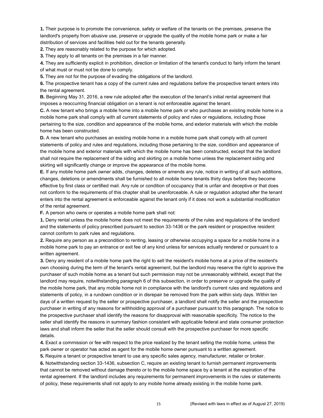**1.** Their purpose is to promote the convenience, safety or welfare of the tenants on the premises, preserve the landlord's property from abusive use, preserve or upgrade the quality of the mobile home park or make a fair distribution of services and facilities held out for the tenants generally.

**2.** They are reasonably related to the purpose for which adopted.

**3.** They apply to all tenants on the premises in a fair manner.

**4.** They are sufficiently explicit in prohibition, direction or limitation of the tenant's conduct to fairly inform the tenant of what must or must not be done to comply.

**5.** They are not for the purpose of evading the obligations of the landlord.

**6.** The prospective tenant has a copy of the current rules and regulations before the prospective tenant enters into the rental agreement.

**B.** Beginning May 31, 2016, a new rule adopted after the execution of the tenant's initial rental agreement that imposes a reoccurring financial obligation on a tenant is not enforceable against the tenant.

**C.** A new tenant who brings a mobile home into a mobile home park or who purchases an existing mobile home in a mobile home park shall comply with all current statements of policy and rules or regulations, including those pertaining to the size, condition and appearance of the mobile home, and exterior materials with which the mobile home has been constructed.

**D.** A new tenant who purchases an existing mobile home in a mobile home park shall comply with all current statements of policy and rules and regulations, including those pertaining to the size, condition and appearance of the mobile home and exterior materials with which the mobile home has been constructed, except that the landlord shall not require the replacement of the siding and skirting on a mobile home unless the replacement siding and skirting will significantly change or improve the appearance of the mobile home.

**E.** If any mobile home park owner adds, changes, deletes or amends any rule, notice in writing of all such additions, changes, deletions or amendments shall be furnished to all mobile home tenants thirty days before they become effective by first class or certified mail. Any rule or condition of occupancy that is unfair and deceptive or that does not conform to the requirements of this chapter shall be unenforceable. A rule or regulation adopted after the tenant enters into the rental agreement is enforceable against the tenant only if it does not work a substantial modification of the rental agreement.

**F.** A person who owns or operates a mobile home park shall not:

**1.** Deny rental unless the mobile home does not meet the requirements of the rules and regulations of the landlord and the statements of policy prescribed pursuant to section 33-1436 or the park resident or prospective resident cannot conform to park rules and regulations.

**2.** Require any person as a precondition to renting, leasing or otherwise occupying a space for a mobile home in a mobile home park to pay an entrance or exit fee of any kind unless for services actually rendered or pursuant to a written agreement.

**3.** Deny any resident of a mobile home park the right to sell the resident's mobile home at a price of the resident's own choosing during the term of the tenant's rental agreement, but the landlord may reserve the right to approve the purchaser of such mobile home as a tenant but such permission may not be unreasonably withheld, except that the landlord may require, notwithstanding paragraph 6 of this subsection, in order to preserve or upgrade the quality of the mobile home park, that any mobile home not in compliance with the landlord's current rules and regulations and statements of policy, in a rundown condition or in disrepair be removed from the park within sixty days. Within ten days of a written request by the seller or prospective purchaser, a landlord shall notify the seller and the prospective purchaser in writing of any reasons for withholding approval of a purchaser pursuant to this paragraph. The notice to the prospective purchaser shall identify the reasons for disapproval with reasonable specificity. The notice to the seller shall identify the reasons in summary fashion consistent with applicable federal and state consumer protection laws and shall inform the seller that the seller should consult with the prospective purchaser for more specific details.

**4.** Exact a commission or fee with respect to the price realized by the tenant selling the mobile home, unless the park owner or operator has acted as agent for the mobile home owner pursuant to a written agreement.

**5.** Require a tenant or prospective tenant to use any specific sales agency, manufacturer, retailer or broker. **6.** Notwithstanding section 33-1436, subsection C, require an existing tenant to furnish permanent improvements that cannot be removed without damage thereto or to the mobile home space by a tenant at the expiration of the rental agreement. If the landlord includes any requirements for permanent improvements in the rules or statements of policy, these requirements shall not apply to any mobile home already existing in the mobile home park.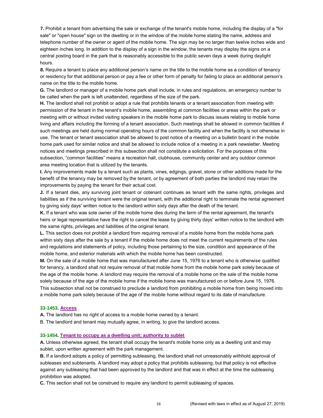**7.** Prohibit a tenant from advertising the sale or exchange of the tenant's mobile home, including the display of a "for sale" or "open house" sign on the dwelling or in the window of the mobile home stating the name, address and telephone number of the owner or agent of the mobile home. The sign may be no larger than twelve inches wide and eighteen inches long. In addition to the display of a sign in the window, the tenants may display the signs on a central posting board in the park that is reasonably accessible to the public seven days a week during daylight hours.

**8.** Require a tenant to place any additional person's name on the title to the mobile home as a condition of tenancy or residency for that additional person or pay a fee or other form of penalty for failing to place an additional person's name on the title to the mobile home.

**G.** The landlord or manager of a mobile home park shall include, in rules and regulations, an emergency number to be called when the park is left unattended, regardless of the size of the park.

**H.** The landlord shall not prohibit or adopt a rule that prohibits tenants or a tenant association from meeting with permission of the tenant in the tenant's mobile home, assembling at common facilities or areas within the park or meeting with or without invited visiting speakers in the mobile home park to discuss issues relating to mobile home living and affairs including the forming of a tenant association. Such meetings shall be allowed in common facilities if such meetings are held during normal operating hours of the common facility and when the facility is not otherwise in use. The tenant or tenant association shall be allowed to post notice of a meeting on a bulletin board in the mobile home park used for similar notice and shall be allowed to include notice of a meeting in a park newsletter. Meeting notices and meetings prescribed in this subsection shall not constitute a solicitation. For the purposes of this subsection, "common facilities" means a recreation hall, clubhouse, community center and any outdoor common area meeting location that is utilized by the tenants.

**I.** Any improvements made by a tenant such as plants, vines, edgings, gravel, stone or other additions made for the benefit of the tenancy may be removed by the tenant, or by agreement of both parties the landlord may retain the improvements by paying the tenant for their actual cost.

**J.** If a tenant dies, any surviving joint tenant or cotenant continues as tenant with the same rights, privileges and liabilities as if the surviving tenant were the original tenant, with the additional right to terminate the rental agreement by giving sixty days' written notice to the landlord within sixty days after the death of the tenant.

**K.** If a tenant who was sole owner of the mobile home dies during the term of the rental agreement, the tenant's heirs or legal representative have the right to cancel the lease by giving thirty days' written notice to the landlord with the same rights, privileges and liabilities of the original tenant.

**L.** This section does not prohibit a landlord from requiring removal of a mobile home from the mobile home park within sixty days after the sale by a tenant if the mobile home does not meet the current requirements of the rules and regulations and statements of policy, including those pertaining to the size, condition and appearance of the mobile home, and exterior materials with which the mobile home has been constructed.

**M.** On the sale of a mobile home that was manufactured after June 15, 1976 to a tenant who is otherwise qualified for tenancy, a landlord shall not require removal of that mobile home from the mobile home park solely because of the age of the mobile home. A landlord may require the removal of a mobile home on the sale of the mobile home solely because of the age of the mobile home if the mobile home was manufactured on or before June 15, 1976. This subsection shall not be construed to preclude a landlord from prohibiting a mobile home from being moved into a mobile home park solely because of the age of the mobile home without regard to its date of manufacture.

#### **33-1453. Access**

**A.** The landlord has no right of access to a mobile home owned by a tenant.

B. The landlord and tenant may mutually agree, in writing, to give the landlord access.

#### **33-1454. Tenant to occupy as a dwelling unit; authority to sublet**

**A.** Unless otherwise agreed, the tenant shall occupy the tenant's mobile home only as a dwelling unit and may sublet, upon written agreement with the park management.

**B.** If a landlord adopts a policy of permitting subleasing, the landlord shall not unreasonably withhold approval of subleases and subtenants. A landlord may adopt a policy that prohibits subleasing, but that policy is not effective against any subleasing that had been approved by the landlord and that was in effect at the time the subleasing prohibition was adopted.

**C.** This section shall not be construed to require any landlord to permit subleasing of spaces.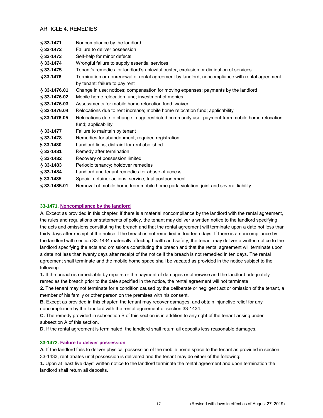## ARTICLE 4. REMEDIES

| $$33-1471$      | Noncompliance by the landlord                                                                  |  |
|-----------------|------------------------------------------------------------------------------------------------|--|
| $§ 33 - 1472$   | Failure to deliver possession                                                                  |  |
| $\S$ 33-1473    | Self-help for minor defects                                                                    |  |
| $§ 33 - 1474$   | Wrongful failure to supply essential services                                                  |  |
| $\S$ 33-1475    | Tenant's remedies for landlord's unlawful ouster, exclusion or diminution of services          |  |
| $§ 33 - 1476$   | Termination or nonrenewal of rental agreement by landlord; noncompliance with rental agreement |  |
|                 | by tenant; failure to pay rent                                                                 |  |
| $\S$ 33-1476.01 | Change in use; notices; compensation for moving expenses; payments by the landlord             |  |
| $\S$ 33-1476.02 | Mobile home relocation fund; investment of monies                                              |  |
| $\S$ 33-1476.03 | Assessments for mobile home relocation fund; waiver                                            |  |
| $\S$ 33-1476.04 | Relocations due to rent increase; mobile home relocation fund; applicability                   |  |
| $\S$ 33-1476.05 | Relocations due to change in age restricted community use; payment from mobile home relocation |  |
|                 | fund; applicability                                                                            |  |
| $§ 33 - 1477$   | Failure to maintain by tenant                                                                  |  |
| $\S$ 33-1478    | Remedies for abandonment; required registration                                                |  |
| $§ 33 - 1480$   | Landlord liens; distraint for rent abolished                                                   |  |
| $\S$ 33-1481    | Remedy after termination                                                                       |  |
| $\S$ 33-1482    | Recovery of possession limited                                                                 |  |
| $\S$ 33-1483    | Periodic tenancy; holdover remedies                                                            |  |
| $\S$ 33-1484    | Landlord and tenant remedies for abuse of access                                               |  |
| $\S$ 33-1485    | Special detainer actions; service; trial postponement                                          |  |
| $\S$ 33-1485.01 | Removal of mobile home from mobile home park; violation; joint and several liability           |  |

## **33-1471. Noncompliance by the landlord**

**A.** Except as provided in this chapter, if there is a material noncompliance by the landlord with the rental agreement, the rules and regulations or statements of policy, the tenant may deliver a written notice to the landlord specifying the acts and omissions constituting the breach and that the rental agreement will terminate upon a date not less than thirty days after receipt of the notice if the breach is not remedied in fourteen days. If there is a noncompliance by the landlord with section 33-1434 materially affecting health and safety, the tenant may deliver a written notice to the landlord specifying the acts and omissions constituting the breach and that the rental agreement will terminate upon a date not less than twenty days after receipt of the notice if the breach is not remedied in ten days. The rental agreement shall terminate and the mobile home space shall be vacated as provided in the notice subject to the following:

**1.** If the breach is remediable by repairs or the payment of damages or otherwise and the landlord adequately remedies the breach prior to the date specified in the notice, the rental agreement will not terminate.

**2.** The tenant may not terminate for a condition caused by the deliberate or negligent act or omission of the tenant, a member of his family or other person on the premises with his consent.

**B.** Except as provided in this chapter, the tenant may recover damages, and obtain injunctive relief for any noncompliance by the landlord with the rental agreement or section 33-1434.

**C.** The remedy provided in subsection B of this section is in addition to any right of the tenant arising under subsection A of this section.

**D.** If the rental agreement is terminated, the landlord shall return all deposits less reasonable damages.

## **33-1472. Failure to deliver possession**

**A.** If the landlord fails to deliver physical possession of the mobile home space to the tenant as provided in section 33-1433, rent abates until possession is delivered and the tenant may do either of the following:

**1.** Upon at least five days' written notice to the landlord terminate the rental agreement and upon termination the landlord shall return all deposits.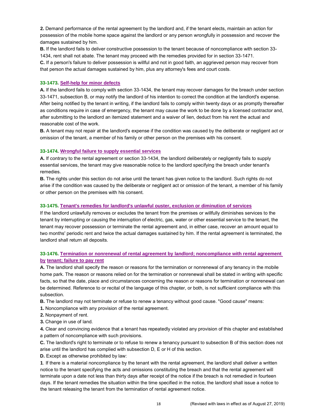**2.** Demand performance of the rental agreement by the landlord and, if the tenant elects, maintain an action for possession of the mobile home space against the landlord or any person wrongfully in possession and recover the damages sustained by him.

**B.** If the landlord fails to deliver constructive possession to the tenant because of noncompliance with section 33- 1434, rent shall not abate. The tenant may proceed with the remedies provided for in section 33-1471.

**C.** If a person's failure to deliver possession is willful and not in good faith, an aggrieved person may recover from that person the actual damages sustained by him, plus any attorney's fees and court costs.

#### **33-1473. Self-help for minor defects**

**A.** If the landlord fails to comply with section 33-1434, the tenant may recover damages for the breach under section 33-1471, subsection B, or may notify the landlord of his intention to correct the condition at the landlord's expense. After being notified by the tenant in writing, if the landlord fails to comply within twenty days or as promptly thereafter as conditions require in case of emergency, the tenant may cause the work to be done by a licensed contractor and, after submitting to the landlord an itemized statement and a waiver of lien, deduct from his rent the actual and reasonable cost of the work.

**B.** A tenant may not repair at the landlord's expense if the condition was caused by the deliberate or negligent act or omission of the tenant, a member of his family or other person on the premises with his consent.

#### **33-1474. Wrongful failure to supply essential services**

**A.** If contrary to the rental agreement or section 33-1434, the landlord deliberately or negligently fails to supply essential services, the tenant may give reasonable notice to the landlord specifying the breach under tenant's remedies.

**B.** The rights under this section do not arise until the tenant has given notice to the landlord. Such rights do not arise if the condition was caused by the deliberate or negligent act or omission of the tenant, a member of his family or other person on the premises with his consent.

#### **33-1475. Tenant's remedies for landlord's unlawful ouster, exclusion or diminution of services**

If the landlord unlawfully removes or excludes the tenant from the premises or willfully diminishes services to the tenant by interrupting or causing the interruption of electric, gas, water or other essential service to the tenant, the tenant may recover possession or terminate the rental agreement and, in either case, recover an amount equal to two months' periodic rent and twice the actual damages sustained by him. If the rental agreement is terminated, the landlord shall return all deposits.

## **33-1476. Termination or nonrenewal of rental agreement by landlord; noncompliance with rental agreement by tenant; failure to pay rent**

**A.** The landlord shall specify the reason or reasons for the termination or nonrenewal of any tenancy in the mobile home park. The reason or reasons relied on for the termination or nonrenewal shall be stated in writing with specific facts, so that the date, place and circumstances concerning the reason or reasons for termination or nonrenewal can be determined. Reference to or recital of the language of this chapter, or both, is not sufficient compliance with this subsection.

**B.** The landlord may not terminate or refuse to renew a tenancy without good cause. "Good cause" means:

- **1.** Noncompliance with any provision of the rental agreement.
- **2.** Nonpayment of rent.
- **3.** Change in use of land.

**4.** Clear and convincing evidence that a tenant has repeatedly violated any provision of this chapter and established a pattern of noncompliance with such provisions.

**C.** The landlord's right to terminate or to refuse to renew a tenancy pursuant to subsection B of this section does not arise until the landlord has complied with subsection D, E or H of this section.

**D.** Except as otherwise prohibited by law:

**1**. If there is a material noncompliance by the tenant with the rental agreement, the landlord shall deliver a written notice to the tenant specifying the acts and omissions constituting the breach and that the rental agreement will terminate upon a date not less than thirty days after receipt of the notice if the breach is not remedied in fourteen days. If the tenant remedies the situation within the time specified in the notice, the landlord shall issue a notice to the tenant releasing the tenant from the termination of rental agreement notice.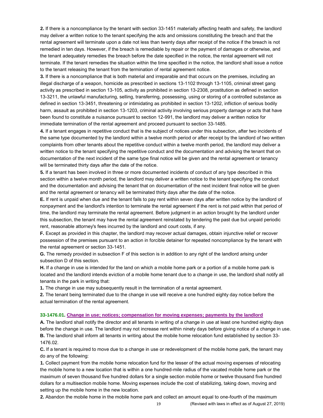**2.** If there is a noncompliance by the tenant with section 33-1451 materially affecting health and safety, the landlord may deliver a written notice to the tenant specifying the acts and omissions constituting the breach and that the rental agreement will terminate upon a date not less than twenty days after receipt of the notice if the breach is not remedied in ten days. However, if the breach is remediable by repair or the payment of damages or otherwise, and the tenant adequately remedies the breach before the date specified in the notice, the rental agreement will not terminate. If the tenant remedies the situation within the time specified in the notice, the landlord shall issue a notice to the tenant releasing the tenant from the termination of rental agreement notice.

**3.** If there is a noncompliance that is both material and irreparable and that occurs on the premises, including an illegal discharge of a weapon, homicide as prescribed in sections 13-1102 through 13-1105, criminal street gang activity as prescribed in section 13-105, activity as prohibited in section 13-2308, prostitution as defined in section 13-3211, the unlawful manufacturing, selling, transferring, possessing, using or storing of a controlled substance as defined in section 13-3451, threatening or intimidating as prohibited in section 13-1202, infliction of serious bodily harm, assault as prohibited in section 13-1203, criminal activity involving serious property damage or acts that have been found to constitute a nuisance pursuant to section 12-991, the landlord may deliver a written notice for immediate termination of the rental agreement and proceed pursuant to section 33-1485.

**4.** If a tenant engages in repetitive conduct that is the subject of notices under this subsection, after two incidents of the same type documented by the landlord within a twelve month period or after receipt by the landlord of two written complaints from other tenants about the repetitive conduct within a twelve month period, the landlord may deliver a written notice to the tenant specifying the repetitive conduct and the documentation and advising the tenant that on documentation of the next incident of the same type final notice will be given and the rental agreement or tenancy will be terminated thirty days after the date of the notice.

**5.** If a tenant has been involved in three or more documented incidents of conduct of any type described in this section within a twelve month period, the landlord may deliver a written notice to the tenant specifying the conduct and the documentation and advising the tenant that on documentation of the next incident final notice will be given and the rental agreement or tenancy will be terminated thirty days after the date of the notice.

**E.** If rent is unpaid when due and the tenant fails to pay rent within seven days after written notice by the landlord of nonpayment and the landlord's intention to terminate the rental agreement if the rent is not paid within that period of time, the landlord may terminate the rental agreement. Before judgment in an action brought by the landlord under this subsection, the tenant may have the rental agreement reinstated by tendering the past due but unpaid periodic rent, reasonable attorney's fees incurred by the landlord and court costs, if any.

**F.** Except as provided in this chapter, the landlord may recover actual damages, obtain injunctive relief or recover possession of the premises pursuant to an action in forcible detainer for repeated noncompliance by the tenant with the rental agreement or section 33-1451.

**G.** The remedy provided in subsection F of this section is in addition to any right of the landlord arising under subsection D of this section.

**H.** If a change in use is intended for the land on which a mobile home park or a portion of a mobile home park is located and the landlord intends eviction of a mobile home tenant due to a change in use, the landlord shall notify all tenants in the park in writing that:

**1.** The change in use may subsequently result in the termination of a rental agreement.

**2.** The tenant being terminated due to the change in use will receive a one hundred eighty day notice before the actual termination of the rental agreement.

#### **33-1476.01. Change in use; notices; compensation for moving expenses; payments by the landlord**

**A.** The landlord shall notify the director and all tenants in writing of a change in use at least one hundred eighty days before the change in use. The landlord may not increase rent within ninety days before giving notice of a change in use. **B.** The landlord shall inform all tenants in writing about the mobile home relocation fund established by section 33- 1476.02.

**C.** If a tenant is required to move due to a change in use or redevelopment of the mobile home park, the tenant may do any of the following:

**1.** Collect payment from the mobile home relocation fund for the lesser of the actual moving expenses of relocating the mobile home to a new location that is within a one hundred-mile radius of the vacated mobile home park or the maximum of seven thousand five hundred dollars for a single section mobile home or twelve thousand five hundred dollars for a multisection mobile home. Moving expenses include the cost of stabilizing, taking down, moving and setting up the mobile home in the new location.

**2.** Abandon the mobile home in the mobile home park and collect an amount equal to one-fourth of the maximum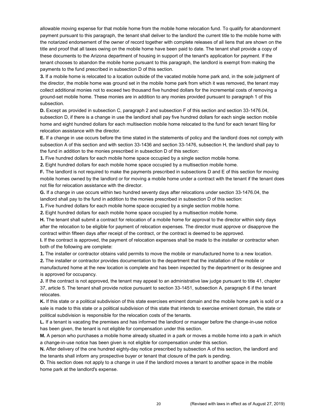allowable moving expense for that mobile home from the mobile home relocation fund. To qualify for abandonment payment pursuant to this paragraph, the tenant shall deliver to the landlord the current title to the mobile home with the notarized endorsement of the owner of record together with complete releases of all liens that are shown on the title and proof that all taxes owing on the mobile home have been paid to date. The tenant shall provide a copy of these documents to the Arizona department of housing in support of the tenant's application for payment. If the tenant chooses to abandon the mobile home pursuant to this paragraph, the landlord is exempt from making the payments to the fund prescribed in subsection D of this section.

**3.** If a mobile home is relocated to a location outside of the vacated mobile home park and, in the sole judgment of the director, the mobile home was ground set in the mobile home park from which it was removed, the tenant may collect additional monies not to exceed two thousand five hundred dollars for the incremental costs of removing a ground-set mobile home. These monies are in addition to any monies provided pursuant to paragraph 1 of this subsection.

**D.** Except as provided in subsection C, paragraph 2 and subsection F of this section and section 33-1476.04, subsection D, if there is a change in use the landlord shall pay five hundred dollars for each single section mobile home and eight hundred dollars for each multisection mobile home relocated to the fund for each tenant filing for relocation assistance with the director.

**E.** If a change in use occurs before the time stated in the statements of policy and the landlord does not comply with subsection A of this section and with section 33-1436 and section 33-1476, subsection H, the landlord shall pay to the fund in addition to the monies prescribed in subsection D of this section:

**1.** Five hundred dollars for each mobile home space occupied by a single section mobile home.

**2.** Eight hundred dollars for each mobile home space occupied by a multisection mobile home.

**F.** The landlord is not required to make the payments prescribed in subsections D and E of this section for moving mobile homes owned by the landlord or for moving a mobile home under a contract with the tenant if the tenant does not file for relocation assistance with the director.

**G.** If a change in use occurs within two hundred seventy days after relocations under section 33-1476.04, the landlord shall pay to the fund in addition to the monies prescribed in subsection D of this section:

**1.** Five hundred dollars for each mobile home space occupied by a single section mobile home.

**2.** Eight hundred dollars for each mobile home space occupied by a multisection mobile home.

**H.** The tenant shall submit a contract for relocation of a mobile home for approval to the director within sixty days after the relocation to be eligible for payment of relocation expenses. The director must approve or disapprove the contract within fifteen days after receipt of the contract, or the contract is deemed to be approved.

**I.** If the contract is approved, the payment of relocation expenses shall be made to the installer or contractor when both of the following are complete:

**1.** The installer or contractor obtains valid permits to move the mobile or manufactured home to a new location.

**2.** The installer or contractor provides documentation to the department that the installation of the mobile or manufactured home at the new location is complete and has been inspected by the department or its designee and is approved for occupancy.

**J.** If the contract is not approved, the tenant may appeal to an administrative law judge pursuant to title 41, chapter 37, article 5. The tenant shall provide notice pursuant to section 33-1451, subsection A, paragraph 6 if the tenant relocates.

**K.** If this state or a political subdivision of this state exercises eminent domain and the mobile home park is sold or a sale is made to this state or a political subdivision of this state that intends to exercise eminent domain, the state or political subdivision is responsible for the relocation costs of the tenants.

**L.** If a tenant is vacating the premises and has informed the landlord or manager before the change-in-use notice has been given, the tenant is not eligible for compensation under this section.

**M.** A person who purchases a mobile home already situated in a park or moves a mobile home into a park in which a change-in-use notice has been given is not eligible for compensation under this section.

**N.** After delivery of the one hundred eighty-day notice prescribed by subsection A of this section, the landlord and the tenants shall inform any prospective buyer or tenant that closure of the park is pending.

**O.** This section does not apply to a change in use if the landlord moves a tenant to another space in the mobile home park at the landlord's expense.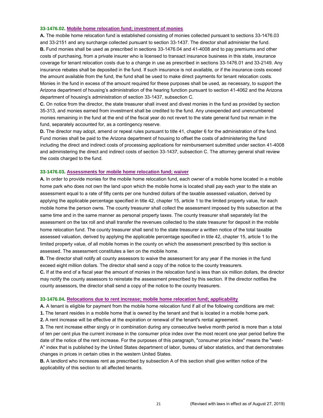#### **33-1476.02. Mobile home relocation fund; investment of monies**

**A.** The mobile home relocation fund is established consisting of monies collected pursuant to sections 33-1476.03 and 33-2151 and any surcharge collected pursuant to section 33-1437. The director shall administer the fund. **B.** Fund monies shall be used as prescribed in sections 33-1476.04 and 41-4008 and to pay premiums and other costs of purchasing, from a private insurer who is licensed to transact insurance business in this state, insurance coverage for tenant relocation costs due to a change in use as prescribed in sections 33-1476.01 and 33-2149. Any insurance rebates shall be deposited in the fund. If such insurance is not available, or if the insurance costs exceed the amount available from the fund, the fund shall be used to make direct payments for tenant relocation costs. Monies in the fund in excess of the amount required for these purposes shall be used, as necessary, to support the Arizona department of housing's administration of the hearing function pursuant to section 41-4062 and the Arizona department of housing's administration of section 33-1437, subsection C.

**C.** On notice from the director, the state treasurer shall invest and divest monies in the fund as provided by section 35-313, and monies earned from investment shall be credited to the fund. Any unexpended and unencumbered monies remaining in the fund at the end of the fiscal year do not revert to the state general fund but remain in the fund, separately accounted for, as a contingency reserve.

**D.** The director may adopt, amend or repeal rules pursuant to title 41, chapter 6 for the administration of the fund. Fund monies shall be paid to the Arizona department of housing to offset the costs of administering the fund including the direct and indirect costs of processing applications for reimbursement submitted under section 41-4008 and administering the direct and indirect costs of section 33-1437, subsection C. The attorney general shall review the costs charged to the fund.

#### **33-1476.03. Assessments for mobile home relocation fund; waiver**

**A.** In order to provide monies for the mobile home relocation fund, each owner of a mobile home located in a mobile home park who does not own the land upon which the mobile home is located shall pay each year to the state an assessment equal to a rate of fifty cents per one hundred dollars of the taxable assessed valuation, derived by applying the applicable percentage specified in title 42, chapter 15, article 1 to the limited property value, for each mobile home the person owns. The county treasurer shall collect the assessment imposed by this subsection at the same time and in the same manner as personal property taxes. The county treasurer shall separately list the assessment on the tax roll and shall transfer the revenues collected to the state treasurer for deposit in the mobile home relocation fund. The county treasurer shall send to the state treasurer a written notice of the total taxable assessed valuation, derived by applying the applicable percentage specified in title 42, chapter 15, article 1 to the limited property value, of all mobile homes in the county on which the assessment prescribed by this section is assessed. The assessment constitutes a lien on the mobile home.

**B.** The director shall notify all county assessors to waive the assessment for any year if the monies in the fund exceed eight million dollars. The director shall send a copy of the notice to the county treasurers.

**C.** If at the end of a fiscal year the amount of monies in the relocation fund is less than six million dollars, the director may notify the county assessors to reinstate the assessment prescribed by this section. If the director notifies the county assessors, the director shall send a copy of the notice to the county treasurers.

#### **33-1476.04. Relocations due to rent increase; mobile home relocation fund; applicability**

**A.** A tenant is eligible for payment from the mobile home relocation fund if all of the following conditions are met:

**1.** The tenant resides in a mobile home that is owned by the tenant and that is located in a mobile home park.

**2.** A rent increase will be effective at the expiration or renewal of the tenant's rental agreement.

**3.** The rent increase either singly or in combination during any consecutive twelve month period is more than a total of ten per cent plus the current increase in the consumer price index over the most recent one year period before the date of the notice of the rent increase. For the purposes of this paragraph, "consumer price index" means the "west-A" index that is published by the United States department of labor, bureau of labor statistics, and that demonstrates changes in prices in certain cities in the western United States.

**B.** A landlord who increases rent as prescribed by subsection A of this section shall give written notice of the applicability of this section to all affected tenants.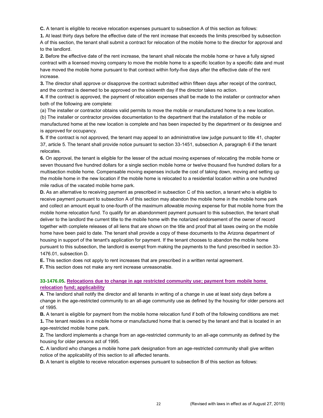**C.** A tenant is eligible to receive relocation expenses pursuant to subsection A of this section as follows:

**1.** At least thirty days before the effective date of the rent increase that exceeds the limits prescribed by subsection A of this section, the tenant shall submit a contract for relocation of the mobile home to the director for approval and to the landlord.

**2.** Before the effective date of the rent increase, the tenant shall relocate the mobile home or have a fully signed contract with a licensed moving company to move the mobile home to a specific location by a specific date and must have moved the mobile home pursuant to that contract within forty-five days after the effective date of the rent increase.

**3.** The director shall approve or disapprove the contract submitted within fifteen days after receipt of the contract, and the contract is deemed to be approved on the sixteenth day if the director takes no action.

**4.** If the contract is approved, the payment of relocation expenses shall be made to the installer or contractor when both of the following are complete:

(a) The installer or contractor obtains valid permits to move the mobile or manufactured home to a new location.

(b) The installer or contractor provides documentation to the department that the installation of the mobile or manufactured home at the new location is complete and has been inspected by the department or its designee and is approved for occupancy.

**5.** If the contract is not approved, the tenant may appeal to an administrative law judge pursuant to title 41, chapter 37, article 5. The tenant shall provide notice pursuant to section 33-1451, subsection A, paragraph 6 if the tenant relocates.

**6.** On approval, the tenant is eligible for the lesser of the actual moving expenses of relocating the mobile home or seven thousand five hundred dollars for a single section mobile home or twelve thousand five hundred dollars for a multisection mobile home. Compensable moving expenses include the cost of taking down, moving and setting up the mobile home in the new location if the mobile home is relocated to a residential location within a one hundred mile radius of the vacated mobile home park.

**D.** As an alternative to receiving payment as prescribed in subsection C of this section, a tenant who is eligible to receive payment pursuant to subsection A of this section may abandon the mobile home in the mobile home park and collect an amount equal to one-fourth of the maximum allowable moving expense for that mobile home from the mobile home relocation fund. To qualify for an abandonment payment pursuant to this subsection, the tenant shall deliver to the landlord the current title to the mobile home with the notarized endorsement of the owner of record together with complete releases of all liens that are shown on the title and proof that all taxes owing on the mobile home have been paid to date. The tenant shall provide a copy of these documents to the Arizona department of housing in support of the tenant's application for payment. If the tenant chooses to abandon the mobile home pursuant to this subsection, the landlord is exempt from making the payments to the fund prescribed in section 33- 1476.01, subsection D.

**E.** This section does not apply to rent increases that are prescribed in a written rental agreement.

**F. T**his section does not make any rent increase unreasonable.

## **33-1476.05. Relocations due to change in age restricted community use; payment from mobile home relocation fund; applicability**

**A**. The landlord shall notify the director and all tenants in writing of a change in use at least sixty days before a change in the age-restricted community to an all-age community use as defined by the housing for older persons act of 1995.

**B.** A tenant is eligible for payment from the mobile home relocation fund if both of the following conditions are met: **1.** The tenant resides in a mobile home or manufactured home that is owned by the tenant and that is located in an age-restricted mobile home park.

**2.** The landlord implements a change from an age-restricted community to an all-age community as defined by the housing for older persons act of 1995.

**C.** A landlord who changes a mobile home park designation from an age-restricted community shall give written notice of the applicability of this section to all affected tenants.

**D.** A tenant is eligible to receive relocation expenses pursuant to subsection B of this section as follows: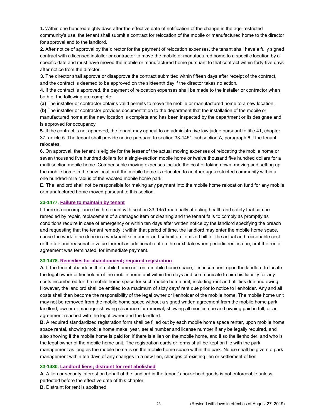**1.** Within one hundred eighty days after the effective date of notification of the change in the age-restricted community's use, the tenant shall submit a contract for relocation of the mobile or manufactured home to the director for approval and to the landlord.

**2.** After notice of approval by the director for the payment of relocation expenses, the tenant shall have a fully signed contract with a licensed installer or contractor to move the mobile or manufactured home to a specific location by a specific date and must have moved the mobile or manufactured home pursuant to that contract within forty-five days after notice from the director.

**3.** The director shall approve or disapprove the contract submitted within fifteen days after receipt of the contract, and the contract is deemed to be approved on the sixteenth day if the director takes no action.

**4.** If the contract is approved, the payment of relocation expenses shall be made to the installer or contractor when both of the following are complete:

**(a)** The installer or contractor obtains valid permits to move the mobile or manufactured home to a new location.

**(b)** The installer or contractor provides documentation to the department that the installation of the mobile or manufactured home at the new location is complete and has been inspected by the department or its designee and is approved for occupancy.

**5.** If the contract is not approved, the tenant may appeal to an administrative law judge pursuant to title 41, chapter 37, article 5. The tenant shall provide notice pursuant to section 33-1451, subsection A, paragraph 6 if the tenant relocates.

**6.** On approval, the tenant is eligible for the lesser of the actual moving expenses of relocating the mobile home or seven thousand five hundred dollars for a single-section mobile home or twelve thousand five hundred dollars for a multi section mobile home. Compensable moving expenses include the cost of taking down, moving and setting up the mobile home in the new location if the mobile home is relocated to another age-restricted community within a one hundred-mile radius of the vacated mobile home park.

**E.** The landlord shall not be responsible for making any payment into the mobile home relocation fund for any mobile or manufactured home moved pursuant to this section.

#### **33-1477. Failure to maintain by tenant**

If there is noncompliance by the tenant with section 33-1451 materially affecting health and safety that can be remedied by repair, replacement of a damaged item or cleaning and the tenant fails to comply as promptly as conditions require in case of emergency or within ten days after written notice by the landlord specifying the breach and requesting that the tenant remedy it within that period of time, the landlord may enter the mobile home space, cause the work to be done in a workmanlike manner and submit an itemized bill for the actual and reasonable cost or the fair and reasonable value thereof as additional rent on the next date when periodic rent is due, or if the rental agreement was terminated, for immediate payment.

#### **33-1478. Remedies for abandonment; required registration**

**A.** If the tenant abandons the mobile home unit on a mobile home space, it is incumbent upon the landlord to locate the legal owner or lienholder of the mobile home unit within ten days and communicate to him his liability for any costs incumbered for the mobile home space for such mobile home unit, including rent and utilities due and owing. However, the landlord shall be entitled to a maximum of sixty days' rent due prior to notice to lienholder. Any and all costs shall then become the responsibility of the legal owner or lienholder of the mobile home. The mobile home unit may not be removed from the mobile home space without a signed written agreement from the mobile home park landlord, owner or manager showing clearance for removal, showing all monies due and owning paid in full, or an agreement reached with the legal owner and the landlord.

**B.** A required standardized registration form shall be filled out by each mobile home space renter, upon mobile home space rental, showing mobile home make, year, serial number and license number if any be legally required, and also showing if the mobile home is paid for, if there is a lien on the mobile home, and if so the lienholder, and who is the legal owner of the mobile home unit. The registration cards or forms shall be kept on file with the park management as long as the mobile home is on the mobile home space within the park. Notice shall be given to park management within ten days of any changes in a new lien, changes of existing lien or settlement of lien.

## **33-1480. Landlord liens; distraint for rent abolished**

**A.** A lien or security interest on behalf of the landlord in the tenant's household goods is not enforceable unless perfected before the effective date of this chapter.

**B.** Distraint for rent is abolished.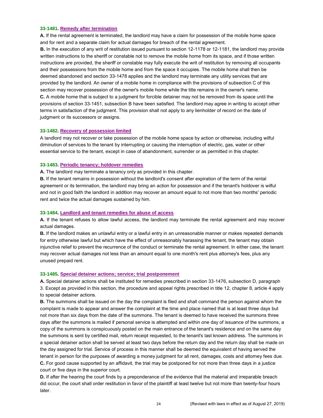#### **33-1481. Remedy after termination**

**A.** If the rental agreement is terminated, the landlord may have a claim for possession of the mobile home space and for rent and a separate claim for actual damages for breach of the rental agreement.

**B.** In the execution of any writ of restitution issued pursuant to section 12-1178 or 12-1181, the landlord may provide written instructions to the sheriff or constable not to remove the mobile home from its space, and if those written instructions are provided, the sheriff or constable may fully execute the writ of restitution by removing all occupants and their possessions from the mobile home and from the space it occupies. The mobile home shall then be deemed abandoned and section 33-1478 applies and the landlord may terminate any utility services that are provided by the landlord. An owner of a mobile home in compliance with the provisions of subsection C of this section may recover possession of the owner's mobile home while the title remains in the owner's name. **C.** A mobile home that is subject to a judgment for forcible detainer may not be removed from its space until the provisions of section 33-1451, subsection B have been satisfied. The landlord may agree in writing to accept other terms in satisfaction of the judgment. This provision shall not apply to any lienholder of record on the date of

judgment or its successors or assigns.

#### **33-1482. Recovery of possession limited**

A landlord may not recover or take possession of the mobile home space by action or otherwise, including wilful diminution of services to the tenant by interrupting or causing the interruption of electric, gas, water or other essential service to the tenant, except in case of abandonment, surrender or as permitted in this chapter.

#### **33-1483. Periodic tenancy; holdover remedies**

**A.** The landlord may terminate a tenancy only as provided in this chapter.

**B.** If the tenant remains in possession without the landlord's consent after expiration of the term of the rental agreement or its termination, the landlord may bring an action for possession and if the tenant's holdover is wilful and not in good faith the landlord in addition may recover an amount equal to not more than two months' periodic rent and twice the actual damages sustained by him.

#### **33-1484. Landlord and tenant remedies for abuse of access**

**A.** If the tenant refuses to allow lawful access, the landlord may terminate the rental agreement and may recover actual damages.

**B.** If the landlord makes an unlawful entry or a lawful entry in an unreasonable manner or makes repeated demands for entry otherwise lawful but which have the effect of unreasonably harassing the tenant, the tenant may obtain injunctive relief to prevent the recurrence of the conduct or terminate the rental agreement. In either case, the tenant may recover actual damages not less than an amount equal to one month's rent plus attorney's fees, plus any unused prepaid rent.

#### **33-1485. Special detainer actions; service; trial postponement**

**A.** Special detainer actions shall be instituted for remedies prescribed in section 33-1476, subsection D, paragraph 3. Except as provided in this section, the procedure and appeal rights prescribed in title 12, chapter 8, article 4 apply to special detainer actions.

**B.** The summons shall be issued on the day the complaint is filed and shall command the person against whom the complaint is made to appear and answer the complaint at the time and place named that is at least three days but not more than six days from the date of the summons. The tenant is deemed to have received the summons three days after the summons is mailed if personal service is attempted and within one day of issuance of the summons, a copy of the summons is conspicuously posted on the main entrance of the tenant's residence and on the same day the summons is sent by certified mail, return receipt requested, to the tenant's last known address. The summons in a special detainer action shall be served at least two days before the return day and the return day shall be made on the day assigned for trial. Service of process in this manner shall be deemed the equivalent of having served the tenant in person for the purposes of awarding a money judgment for all rent, damages, costs and attorney fees due. **C.** For good cause supported by an affidavit, the trial may be postponed for not more than three days in a justice court or five days in the superior court.

**D.** If after the hearing the court finds by a preponderance of the evidence that the material and irreparable breach did occur, the court shall order restitution in favor of the plaintiff at least twelve but not more than twenty-four hours later.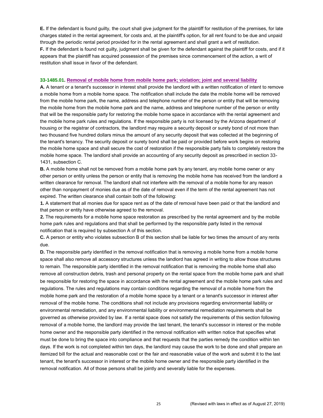**E.** If the defendant is found guilty, the court shall give judgment for the plaintiff for restitution of the premises, for late charges stated in the rental agreement, for costs and, at the plaintiff's option, for all rent found to be due and unpaid through the periodic rental period provided for in the rental agreement and shall grant a writ of restitution. **F.** If the defendant is found not guilty, judgment shall be given for the defendant against the plaintiff for costs, and if it appears that the plaintiff has acquired possession of the premises since commencement of the action, a writ of restitution shall issue in favor of the defendant.

#### **33-1485.01. Removal of mobile home from mobile home park; violation; joint and several liability**

**A.** A tenant or a tenant's successor in interest shall provide the landlord with a written notification of intent to remove a mobile home from a mobile home space. The notification shall include the date the mobile home will be removed from the mobile home park, the name, address and telephone number of the person or entity that will be removing the mobile home from the mobile home park and the name, address and telephone number of the person or entity that will be the responsible party for restoring the mobile home space in accordance with the rental agreement and the mobile home park rules and regulations. If the responsible party is not licensed by the Arizona department of housing or the registrar of contractors, the landlord may require a security deposit or surety bond of not more than two thousand five hundred dollars minus the amount of any security deposit that was collected at the beginning of the tenant's tenancy. The security deposit or surety bond shall be paid or provided before work begins on restoring the mobile home space and shall secure the cost of restoration if the responsible party fails to completely restore the mobile home space. The landlord shall provide an accounting of any security deposit as prescribed in section 33- 1431, subsection C.

**B.** A mobile home shall not be removed from a mobile home park by any tenant, any mobile home owner or any other person or entity unless the person or entity that is removing the mobile home has received from the landlord a written clearance for removal. The landlord shall not interfere with the removal of a mobile home for any reason other than nonpayment of monies due as of the date of removal even if the term of the rental agreement has not expired. The written clearance shall contain both of the following:

**1.** A statement that all monies due for space rent as of the date of removal have been paid or that the landlord and that person or entity have otherwise agreed to the removal.

**2.** The requirements for a mobile home space restoration as prescribed by the rental agreement and by the mobile home park rules and regulations and that shall be performed by the responsible party listed in the removal notification that is required by subsection A of this section.

**C.** A person or entity who violates subsection B of this section shall be liable for two times the amount of any rents due.

**D.** The responsible party identified in the removal notification that is removing a mobile home from a mobile home space shall also remove all accessory structures unless the landlord has agreed in writing to allow those structures to remain. The responsible party identified in the removal notification that is removing the mobile home shall also remove all construction debris, trash and personal property on the rental space from the mobile home park and shall be responsible for restoring the space in accordance with the rental agreement and the mobile home park rules and regulations. The rules and regulations may contain conditions regarding the removal of a mobile home from the mobile home park and the restoration of a mobile home space by a tenant or a tenant's successor in interest after removal of the mobile home. The conditions shall not include any provisions regarding environmental liability or environmental remediation, and any environmental liability or environmental remediation requirements shall be governed as otherwise provided by law. If a rental space does not satisfy the requirements of this section following removal of a mobile home, the landlord may provide the last tenant, the tenant's successor in interest or the mobile home owner and the responsible party identified in the removal notification with written notice that specifies what must be done to bring the space into compliance and that requests that the parties remedy the condition within ten days. If the work is not completed within ten days, the landlord may cause the work to be done and shall prepare an itemized bill for the actual and reasonable cost or the fair and reasonable value of the work and submit it to the last tenant, the tenant's successor in interest or the mobile home owner and the responsible party identified in the removal notification. All of those persons shall be jointly and severally liable for the expenses.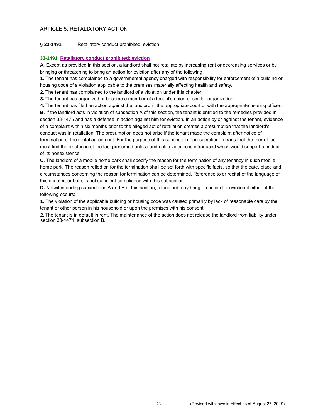## ARTICLE 5. RETALIATORY ACTION

## **§ 33-1491** Retaliatory conduct prohibited; eviction

## **33-1491. Retaliatory conduct prohibited; eviction**

**A.** Except as provided in this section, a landlord shall not retaliate by increasing rent or decreasing services or by bringing or threatening to bring an action for eviction after any of the following:

**1.** The tenant has complained to a governmental agency charged with responsibility for enforcement of a building or housing code of a violation applicable to the premises materially affecting health and safety.

**2.** The tenant has complained to the landlord of a violation under this chapter.

**3.** The tenant has organized or become a member of a tenant's union or similar organization.

**4.** The tenant has filed an action against the landlord in the appropriate court or with the appropriate hearing officer.

**B.** If the landlord acts in violation of subsection A of this section, the tenant is entitled to the remedies provided in section 33-1475 and has a defense in action against him for eviction. In an action by or against the tenant, evidence of a complaint within six months prior to the alleged act of retaliation creates a presumption that the landlord's conduct was in retaliation. The presumption does not arise if the tenant made the complaint after notice of termination of the rental agreement. For the purpose of this subsection, "presumption" means that the trier of fact must find the existence of the fact presumed unless and until evidence is introduced which would support a finding of its nonexistence.

**C.** The landlord of a mobile home park shall specify the reason for the termination of any tenancy in such mobile home park. The reason relied on for the termination shall be set forth with specific facts, so that the date, place and circumstances concerning the reason for termination can be determined. Reference to or recital of the language of this chapter, or both, is not sufficient compliance with this subsection.

**D.** Notwithstanding subsections A and B of this section, a landlord may bring an action for eviction if either of the following occurs:

**1.** The violation of the applicable building or housing code was caused primarily by lack of reasonable care by the tenant or other person in his household or upon the premises with his consent.

**2.** The tenant is in default in rent. The maintenance of the action does not release the landlord from liability under section 33-1471, subsection B.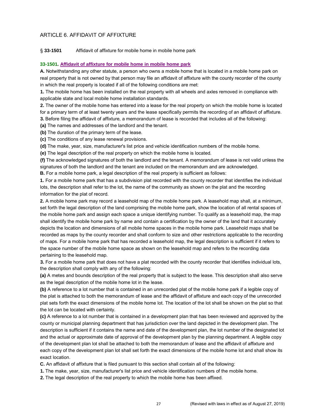## ARTICLE 6. AFFIDAVIT OF AFFIXTURE

#### § **33-1501** Affidavit of affixture for mobile home in mobile home park

#### **33-1501. Affidavit of affixture for mobile home in mobile home park**

**A.** Notwithstanding any other statute, a person who owns a mobile home that is located in a mobile home park on real property that is not owned by that person may file an affidavit of affixture with the county recorder of the county in which the real property is located if all of the following conditions are met:

**1.** The mobile home has been installed on the real property with all wheels and axles removed in compliance with applicable state and local mobile home installation standards.

**2.** The owner of the mobile home has entered into a lease for the real property on which the mobile home is located for a primary term of at least twenty years and the lease specifically permits the recording of an affidavit of affixture. **3.** Before filing the affidavit of affixture, a memorandum of lease is recorded that includes all of the following:

**(a)** The names and addresses of the landlord and the tenant.

**(b)** The duration of the primary term of the lease.

**(c)** The conditions of any lease renewal provisions.

**(d)** The make, year, size, manufacturer's list price and vehicle identification numbers of the mobile home.

**(e)** The legal description of the real property on which the mobile home is located.

**(f)** The acknowledged signatures of both the landlord and the tenant. A memorandum of lease is not valid unless the signatures of both the landlord and the tenant are included on the memorandum and are acknowledged.

**B.** For a mobile home park, a legal description of the real property is sufficient as follows:

**1.** For a mobile home park that has a subdivision plat recorded with the county recorder that identifies the individual lots, the description shall refer to the lot, the name of the community as shown on the plat and the recording information for the plat of record.

**2.** A mobile home park may record a leasehold map of the mobile home park. A leasehold map shall, at a minimum, set forth the legal description of the land comprising the mobile home park, show the location of all rental spaces of the mobile home park and assign each space a unique identifying number. To qualify as a leasehold map, the map shall identify the mobile home park by name and contain a certification by the owner of the land that it accurately depicts the location and dimensions of all mobile home spaces in the mobile home park. Leasehold maps shall be recorded as maps by the county recorder and shall conform to size and other restrictions applicable to the recording of maps. For a mobile home park that has recorded a leasehold map, the legal description is sufficient if it refers to the space number of the mobile home space as shown on the leasehold map and refers to the recording data pertaining to the leasehold map.

**3.** For a mobile home park that does not have a plat recorded with the county recorder that identifies individual lots, the description shall comply with any of the following:

**(a)** A metes and bounds description of the real property that is subject to the lease. This description shall also serve as the legal description of the mobile home lot in the lease.

**(b)** A reference to a lot number that is contained in an unrecorded plat of the mobile home park if a legible copy of the plat is attached to both the memorandum of lease and the affidavit of affixture and each copy of the unrecorded plat sets forth the exact dimensions of the mobile home lot. The location of the lot shall be shown on the plat so that the lot can be located with certainty.

**(c)** A reference to a lot number that is contained in a development plan that has been reviewed and approved by the county or municipal planning department that has jurisdiction over the land depicted in the development plan. The description is sufficient if it contains the name and date of the development plan, the lot number of the designated lot and the actual or approximate date of approval of the development plan by the planning department. A legible copy of the development plan lot shall be attached to both the memorandum of lease and the affidavit of affixture and each copy of the development plan lot shall set forth the exact dimensions of the mobile home lot and shall show its exact location.

**C.** An affidavit of affixture that is filed pursuant to this section shall contain all of the following:

**1.** The make, year, size, manufacturer's list price and vehicle identification numbers of the mobile home.

**2.** The legal description of the real property to which the mobile home has been affixed.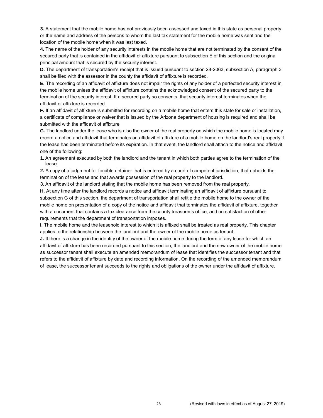**3.** A statement that the mobile home has not previously been assessed and taxed in this state as personal property or the name and address of the persons to whom the last tax statement for the mobile home was sent and the location of the mobile home when it was last taxed.

**4.** The name of the holder of any security interests in the mobile home that are not terminated by the consent of the secured party that is contained in the affidavit of affixture pursuant to subsection E of this section and the original principal amount that is secured by the security interest.

**D.** The department of transportation's receipt that is issued pursuant to section 28-2063, subsection A, paragraph 3 shall be filed with the assessor in the county the affidavit of affixture is recorded.

**E.** The recording of an affidavit of affixture does not impair the rights of any holder of a perfected security interest in the mobile home unless the affidavit of affixture contains the acknowledged consent of the secured party to the termination of the security interest. If a secured party so consents, that security interest terminates when the affidavit of affixture is recorded.

**F.** If an affidavit of affixture is submitted for recording on a mobile home that enters this state for sale or installation, a certificate of compliance or waiver that is issued by the Arizona department of housing is required and shall be submitted with the affidavit of affixture.

**G.** The landlord under the lease who is also the owner of the real property on which the mobile home is located may record a notice and affidavit that terminates an affidavit of affixture of a mobile home on the landlord's real property if the lease has been terminated before its expiration. In that event, the landlord shall attach to the notice and affidavit one of the following:

**1.** An agreement executed by both the landlord and the tenant in which both parties agree to the termination of the lease.

**2.** A copy of a judgment for forcible detainer that is entered by a court of competent jurisdiction, that upholds the termination of the lease and that awards possession of the real property to the landlord.

**3.** An affidavit of the landlord stating that the mobile home has been removed from the real property.

**H.** At any time after the landlord records a notice and affidavit terminating an affidavit of affixture pursuant to subsection G of this section, the department of transportation shall retitle the mobile home to the owner of the mobile home on presentation of a copy of the notice and affidavit that terminates the affidavit of affixture, together with a document that contains a tax clearance from the county treasurer's office, and on satisfaction of other requirements that the department of transportation imposes.

**I.** The mobile home and the leasehold interest to which it is affixed shall be treated as real property. This chapter applies to the relationship between the landlord and the owner of the mobile home as tenant.

**J.** If there is a change in the identity of the owner of the mobile home during the term of any lease for which an affidavit of affixture has been recorded pursuant to this section, the landlord and the new owner of the mobile home as successor tenant shall execute an amended memorandum of lease that identifies the successor tenant and that refers to the affidavit of affixture by date and recording information. On the recording of the amended memorandum of lease, the successor tenant succeeds to the rights and obligations of the owner under the affidavit of affixture.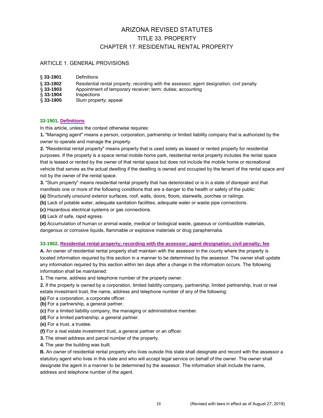# ARIZONA REVISED STATUTES TITLE 33. PROPERTY CHAPTER 17. RESIDENTIAL RENTAL PROPERTY

## ARTICLE 1. GENERAL PROVISIONS

| $§ 33-1901$  | <b>Definitions</b>                                                                         |
|--------------|--------------------------------------------------------------------------------------------|
| $§ 33-1902$  | Residential rental property; recording with the assessor; agent designation; civil penalty |
| $\S$ 33-1903 | Appointment of temporary receiver; term; duties; accounting                                |
| $\S$ 33-1904 | <b>Inspections</b>                                                                         |
| $\S$ 33-1905 | Slum property; appeal                                                                      |

## **33-1901. Definitions**

In this article, unless the context otherwise requires:

**1.** "Managing agent" means a person, corporation, partnership or limited liability company that is authorized by the owner to operate and manage the property.

**2.** "Residential rental property" means property that is used solely as leased or rented property for residential purposes. If the property is a space rental mobile home park, residential rental property includes the rental space that is leased or rented by the owner of that rental space but does not include the mobile home or recreational vehicle that serves as the actual dwelling if the dwelling is owned and occupied by the tenant of the rental space and not by the owner of the rental space.

**3.** "Slum property" means residential rental property that has deteriorated or is in a state of disrepair and that manifests one or more of the following conditions that are a danger to the health or safety of the public:

**(a)** Structurally unsound exterior surfaces, roof, walls, doors, floors, stairwells, porches or railings.

**(b)** Lack of potable water, adequate sanitation facilities, adequate water or waste pipe connections.

**(c)** Hazardous electrical systems or gas connections.

**(d)** Lack of safe, rapid egress.

**(e)** Accumulation of human or animal waste, medical or biological waste, gaseous or combustible materials, dangerous or corrosive liquids, flammable or explosive materials or drug paraphernalia.

#### **33-1902. Residential rental property; recording with the assessor; agent designation; civil penalty; fee**

**A.** An owner of residential rental property shall maintain with the assessor in the county where the property is located information required by this section in a manner to be determined by the assessor. The owner shall update any information required by this section within ten days after a change in the information occurs. The following information shall be maintained:

**1.** The name, address and telephone number of the property owner.

**2.** If the property is owned by a corporation, limited liability company, partnership, limited partnership, trust or real estate investment trust, the name, address and telephone number of any of the following:

**(a)** For a corporation, a corporate officer.

**(b)** For a partnership, a general partner.

**(c)** For a limited liability company, the managing or administrative member.

**(d)** For a limited partnership, a general partner.

**(e)** For a trust, a trustee.

**(f)** For a real estate investment trust, a general partner or an officer.

**3.** The street address and parcel number of the property.

**4.** The year the building was built.

**B.** An owner of residential rental property who lives outside this state shall designate and record with the assessor a statutory agent who lives in this state and who will accept legal service on behalf of the owner. The owner shall designate the agent in a manner to be determined by the assessor. The information shall include the name, address and telephone number of the agent.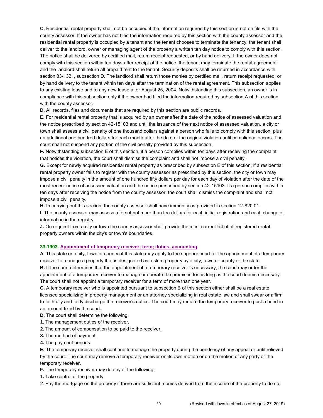**C.** Residential rental property shall not be occupied if the information required by this section is not on file with the county assessor. If the owner has not filed the information required by this section with the county assessor and the residential rental property is occupied by a tenant and the tenant chooses to terminate the tenancy, the tenant shall deliver to the landlord, owner or managing agent of the property a written ten day notice to comply with this section. The notice shall be delivered by certified mail, return receipt requested, or by hand delivery. If the owner does not comply with this section within ten days after receipt of the notice, the tenant may terminate the rental agreement and the landlord shall return all prepaid rent to the tenant. Security deposits shall be returned in accordance with section 33-1321, subsection D. The landlord shall return those monies by certified mail, return receipt requested, or by hand delivery to the tenant within ten days after the termination of the rental agreement. This subsection applies to any existing lease and to any new lease after August 25, 2004. Notwithstanding this subsection, an owner is in compliance with this subsection only if the owner had filed the information required by subsection A of this section with the county assessor.

**D.** All records, files and documents that are required by this section are public records.

**E.** For residential rental property that is acquired by an owner after the date of the notice of assessed valuation and the notice prescribed by section 42-15103 and until the issuance of the next notice of assessed valuation, a city or town shall assess a civil penalty of one thousand dollars against a person who fails to comply with this section, plus an additional one hundred dollars for each month after the date of the original violation until compliance occurs. The court shall not suspend any portion of the civil penalty provided by this subsection.

**F.** Notwithstanding subsection E of this section, if a person complies within ten days after receiving the complaint that notices the violation, the court shall dismiss the complaint and shall not impose a civil penalty.

**G.** Except for newly acquired residential rental property as prescribed by subsection E of this section, if a residential rental property owner fails to register with the county assessor as prescribed by this section, the city or town may impose a civil penalty in the amount of one hundred fifty dollars per day for each day of violation after the date of the most recent notice of assessed valuation and the notice prescribed by section 42-15103. If a person complies within ten days after receiving the notice from the county assessor, the court shall dismiss the complaint and shall not impose a civil penalty.

**H.** In carrying out this section, the county assessor shall have immunity as provided in section 12-820.01.

**I.** The county assessor may assess a fee of not more than ten dollars for each initial registration and each change of information in the registry.

**J.** On request from a city or town the county assessor shall provide the most current list of all registered rental property owners within the city's or town's boundaries.

#### **33-1903. Appointment of temporary receiver; term; duties, accounting**

**A.** This state or a city, town or county of this state may apply to the superior court for the appointment of a temporary receiver to manage a property that is designated as a slum property by a city, town or county or the state. **B.** If the court determines that the appointment of a temporary receiver is necessary, the court may order the

appointment of a temporary receiver to manage or operate the premises for as long as the court deems necessary. The court shall not appoint a temporary receiver for a term of more than one year.

**C.** A temporary receiver who is appointed pursuant to subsection B of this section either shall be a real estate licensee specializing in property management or an attorney specializing in real estate law and shall swear or affirm to faithfully and fairly discharge the receiver's duties. The court may require the temporary receiver to post a bond in an amount fixed by the court.

**D.** The court shall determine the following:

- **1.** The management duties of the receiver.
- **2.** The amount of compensation to be paid to the receiver.
- **3.** The method of payment.
- **4.** The payment periods.

**E.** The temporary receiver shall continue to manage the property during the pendency of any appeal or until relieved by the court. The court may remove a temporary receiver on its own motion or on the motion of any party or the temporary receiver.

**F.** The temporary receiver may do any of the following:

**1.** Take control of the property.

2. Pay the mortgage on the property if there are sufficient monies derived from the income of the property to do so.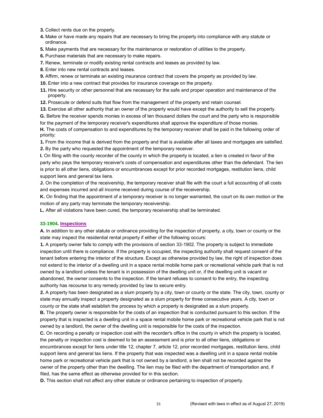- **3.** Collect rents due on the property.
- **4.** Make or have made any repairs that are necessary to bring the property into compliance with any statute or ordinance.
- **5.** Make payments that are necessary for the maintenance or restoration of utilities to the property.
- **6.** Purchase materials that are necessary to make repairs.
- **7.** Renew, terminate or modify existing rental contracts and leases as provided by law.
- **8.** Enter into new rental contracts and leases.
- **9.** Affirm, renew or terminate an existing insurance contract that covers the property as provided by law.
- **10.** Enter into a new contract that provides for insurance coverage on the property.
- **11.** Hire security or other personnel that are necessary for the safe and proper operation and maintenance of the property.
- **12.** Prosecute or defend suits that flow from the management of the property and retain counsel.
- **13.** Exercise all other authority that an owner of the property would have except the authority to sell the property.
- **G.** Before the receiver spends monies in excess of ten thousand dollars the court and the party who is responsible for the payment of the temporary receiver's expenditures shall approve the expenditure of those monies.
- **H.** The costs of compensation to and expenditures by the temporary receiver shall be paid in the following order of priority:
- **1.** From the income that is derived from the property and that is available after all taxes and mortgages are satisfied. **2.** By the party who requested the appointment of the temporary receiver.
- **I.** On filing with the county recorder of the county in which the property is located, a lien is created in favor of the party who pays the temporary receiver's costs of compensation and expenditures other than the defendant. The lien is prior to all other liens, obligations or encumbrances except for prior recorded mortgages, restitution liens, child support liens and general tax liens.
- **J.** On the completion of the receivership, the temporary receiver shall file with the court a full accounting of all costs and expenses incurred and all income received during course of the receivership.
- **K.** On finding that the appointment of a temporary receiver is no longer warranted, the court on its own motion or the motion of any party may terminate the temporary receivership.
- **L.** After all violations have been cured, the temporary receivership shall be terminated.

#### **33-1904. Inspections**

**A.** In addition to any other statute or ordinance providing for the inspection of property, a city, town or county or the state may inspect the residential rental property if either of the following occurs:

**1.** A property owner fails to comply with the provisions of section 33-1902. The property is subject to immediate inspection until there is compliance. If the property is occupied, the inspecting authority shall request consent of the tenant before entering the interior of the structure. Except as otherwise provided by law, the right of inspection does not extend to the interior of a dwelling unit in a space rental mobile home park or recreational vehicle park that is not owned by a landlord unless the tenant is in possession of the dwelling unit or, if the dwelling unit is vacant or abandoned, the owner consents to the inspection. If the tenant refuses to consent to the entry, the inspecting authority has recourse to any remedy provided by law to secure entry.

**2.** A property has been designated as a slum property by a city, town or county or the state. The city, town, county or state may annually inspect a property designated as a slum property for three consecutive years. A city, town or county or the state shall establish the process by which a property is designated as a slum property.

**B.** The property owner is responsible for the costs of an inspection that is conducted pursuant to this section. If the property that is inspected is a dwelling unit in a space rental mobile home park or recreational vehicle park that is not owned by a landlord, the owner of the dwelling unit is responsible for the costs of the inspection.

**C.** On recording a penalty or inspection cost with the recorder's office in the county in which the property is located, the penalty or inspection cost is deemed to be an assessment and is prior to all other liens, obligations or encumbrances except for liens under title 12, chapter 7, article 12, prior recorded mortgages, restitution liens, child support liens and general tax liens. If the property that was inspected was a dwelling unit in a space rental mobile home park or recreational vehicle park that is not owned by a landlord, a lien shall not be recorded against the owner of the property other than the dwelling. The lien may be filed with the department of transportation and, if filed, has the same effect as otherwise provided for in this section.

**D.** This section shall not affect any other statute or ordinance pertaining to inspection of property.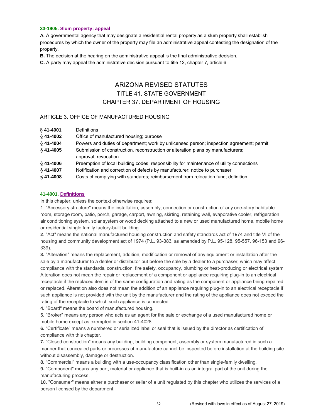## **33-1905. Slum property; appeal**

**A.** A governmental agency that may designate a residential rental property as a slum property shall establish procedures by which the owner of the property may file an administrative appeal contesting the designation of the property.

**B.** The decision at the hearing on the administrative appeal is the final administrative decision.

**C.** A party may appeal the administrative decision pursuant to title 12, chapter 7, article 6.

# ARIZONA REVISED STATUTES TITLE 41. STATE GOVERNMENT CHAPTER 37. DEPARTMENT OF HOUSING

## ARTICLE 3. OFFICE OF MANUFACTURED HOUSING

| $§$ 41-4001 | <b>Definitions</b>                                                                                       |
|-------------|----------------------------------------------------------------------------------------------------------|
| $§$ 41-4002 | Office of manufactured housing; purpose                                                                  |
| $§$ 41-4004 | Powers and duties of department; work by unlicensed person; inspection agreement; permit                 |
| $§$ 41-4005 | Submission of construction, reconstruction or alteration plans by manufacturers;<br>approval; revocation |
| $$41-4006$  | Preemption of local building codes; responsibility for maintenance of utility connections                |
| $§$ 41-4007 | Notification and correction of defects by manufacturer; notice to purchaser                              |
| $§$ 41-4008 | Costs of complying with standards; reimbursement from relocation fund; definition                        |

## **41-4001. Definitions**

In this chapter, unless the context otherwise requires:

1. "Accessory structure" means the installation, assembly, connection or construction of any one-story habitable room, storage room, patio, porch, garage, carport, awning, skirting, retaining wall, evaporative cooler, refrigeration air conditioning system, solar system or wood decking attached to a new or used manufactured home, mobile home or residential single family factory-built building.

**2**. "Act" means the national manufactured housing construction and safety standards act of 1974 and title VI of the housing and community development act of 1974 (P.L. 93-383, as amended by P.L. 95-128, 95-557, 96-153 and 96- 339).

**3.** "Alteration" means the replacement, addition, modification or removal of any equipment or installation after the sale by a manufacturer to a dealer or distributor but before the sale by a dealer to a purchaser, which may affect compliance with the standards, construction, fire safety, occupancy, plumbing or heat-producing or electrical system. Alteration does not mean the repair or replacement of a component or appliance requiring plug-in to an electrical receptacle if the replaced item is of the same configuration and rating as the component or appliance being repaired or replaced. Alteration also does not mean the addition of an appliance requiring plug-in to an electrical receptacle if such appliance is not provided with the unit by the manufacturer and the rating of the appliance does not exceed the rating of the receptacle to which such appliance is connected.

**4.** "Board" means the board of manufactured housing.

**5.** "Broker" means any person who acts as an agent for the sale or exchange of a used manufactured home or mobile home except as exempted in section 41-4028.

**6.** "Certificate" means a numbered or serialized label or seal that is issued by the director as certification of compliance with this chapter.

**7.** "Closed construction" means any building, building component, assembly or system manufactured in such a manner that concealed parts or processes of manufacture cannot be inspected before installation at the building site without disassembly, damage or destruction.

**8.** "Commercial" means a building with a use-occupancy classification other than single-family dwelling.

**9.** "Component" means any part, material or appliance that is built-in as an integral part of the unit during the manufacturing process.

**10.** "Consumer" means either a purchaser or seller of a unit regulated by this chapter who utilizes the services of a person licensed by the department.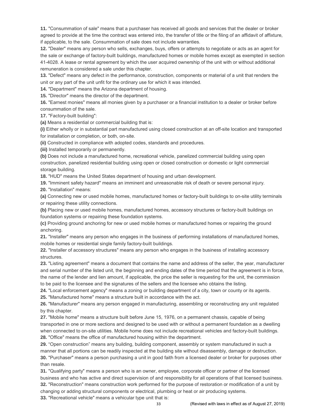**11.** "Consummation of sale" means that a purchaser has received all goods and services that the dealer or broker agreed to provide at the time the contract was entered into, the transfer of title or the filing of an affidavit of affixture, if applicable, to the sale. Consummation of sale does not include warranties.

**12.** "Dealer" means any person who sells, exchanges, buys, offers or attempts to negotiate or acts as an agent for the sale or exchange of factory-built buildings, manufactured homes or mobile homes except as exempted in section 41-4028. A lease or rental agreement by which the user acquired ownership of the unit with or without additional remuneration is considered a sale under this chapter.

**13.** "Defect" means any defect in the performance, construction, components or material of a unit that renders the unit or any part of the unit unfit for the ordinary use for which it was intended.

**14.** "Department" means the Arizona department of housing.

**15.** "Director" means the director of the department.

**16.** "Earnest monies" means all monies given by a purchaser or a financial institution to a dealer or broker before consummation of the sale.

**17.** "Factory-built building":

**(a)** Means a residential or commercial building that is:

**(i)** Either wholly or in substantial part manufactured using closed construction at an off-site location and transported for installation or completion, or both, on-site.

**(ii)** Constructed in compliance with adopted codes, standards and procedures.

**(iii)** Installed temporarily or permanently.

**(b)** Does not include a manufactured home, recreational vehicle, panelized commercial building using open construction, panelized residential building using open or closed construction or domestic or light commercial storage building.

**18.** "HUD" means the United States department of housing and urban development.

**19.** "Imminent safety hazard" means an imminent and unreasonable risk of death or severe personal injury.

**20.** "Installation" means:

**(a)** Connecting new or used mobile homes, manufactured homes or factory-built buildings to on-site utility terminals or repairing these utility connections.

**(b)** Placing new or used mobile homes, manufactured homes, accessory structures or factory-built buildings on foundation systems or repairing these foundation systems.

**(c)** Providing ground anchoring for new or used mobile homes or manufactured homes or repairing the ground anchoring.

**21.** "Installer" means any person who engages in the business of performing installations of manufactured homes, mobile homes or residential single family factory-built buildings.

**22.** "Installer of accessory structures" means any person who engages in the business of installing accessory structures.

**23.** "Listing agreement" means a document that contains the name and address of the seller, the year, manufacturer and serial number of the listed unit, the beginning and ending dates of the time period that the agreement is in force, the name of the lender and lien amount, if applicable, the price the seller is requesting for the unit, the commission to be paid to the licensee and the signatures of the sellers and the licensee who obtains the listing.

**24.** "Local enforcement agency" means a zoning or building department of a city, town or county or its agents.

**25.** "Manufactured home" means a structure built in accordance with the act.

**26.** "Manufacturer" means any person engaged in manufacturing, assembling or reconstructing any unit regulated by this chapter.

**27.** "Mobile home" means a structure built before June 15, 1976, on a permanent chassis, capable of being transported in one or more sections and designed to be used with or without a permanent foundation as a dwelling when connected to on-site utilities. Mobile home does not include recreational vehicles and factory-built buildings. **28.** "Office" means the office of manufactured housing within the department.

**29.** "Open construction" means any building, building component, assembly or system manufactured in such a manner that all portions can be readily inspected at the building site without disassembly, damage or destruction. **30.** "Purchaser" means a person purchasing a unit in good faith from a licensed dealer or broker for purposes other than resale.

**31.** "Qualifying party" means a person who is an owner, employee, corporate officer or partner of the licensed business and who has active and direct supervision of and responsibility for all operations of that licensed business. **32.** "Reconstruction" means construction work performed for the purpose of restoration or modification of a unit by

changing or adding structural components or electrical, plumbing or heat or air producing systems.

**33.** "Recreational vehicle" means a vehicular type unit that is: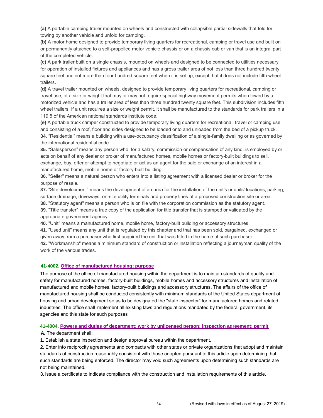**(a)** A portable camping trailer mounted on wheels and constructed with collapsible partial sidewalls that fold for towing by another vehicle and unfold for camping.

**(b)** A motor home designed to provide temporary living quarters for recreational, camping or travel use and built on or permanently attached to a self-propelled motor vehicle chassis or on a chassis cab or van that is an integral part of the completed vehicle.

**(c)** A park trailer built on a single chassis, mounted on wheels and designed to be connected to utilities necessary for operation of installed fixtures and appliances and has a gross trailer area of not less than three hundred twenty square feet and not more than four hundred square feet when it is set up, except that it does not include fifth wheel trailers.

**(d)** A travel trailer mounted on wheels, designed to provide temporary living quarters for recreational, camping or travel use, of a size or weight that may or may not require special highway movement permits when towed by a motorized vehicle and has a trailer area of less than three hundred twenty square feet. This subdivision includes fifth wheel trailers. If a unit requires a size or weight permit, it shall be manufactured to the standards for park trailers in a 119.5 of the American national standards institute code.

**(e)** A portable truck camper constructed to provide temporary living quarters for recreational, travel or camping use and consisting of a roof, floor and sides designed to be loaded onto and unloaded from the bed of a pickup truck. **34.** "Residential" means a building with a use-occupancy classification of a single-family dwelling or as governed by the international residential code.

**35.** "Salesperson" means any person who, for a salary, commission or compensation of any kind, is employed by or acts on behalf of any dealer or broker of manufactured homes, mobile homes or factory-built buildings to sell, exchange, buy, offer or attempt to negotiate or act as an agent for the sale or exchange of an interest in a manufactured home, mobile home or factory-built building.

**36.** "Seller" means a natural person who enters into a listing agreement with a licensed dealer or broker for the purpose of resale.

**37.** "Site development" means the development of an area for the installation of the unit's or units' locations, parking, surface drainage, driveways, on-site utility terminals and property lines at a proposed construction site or area.

**38.** "Statutory agent" means a person who is on file with the corporation commission as the statutory agent.

**39.** "Title transfer" means a true copy of the application for title transfer that is stamped or validated by the appropriate government agency.

**40.** "Unit" means a manufactured home, mobile home, factory-built building or accessory structures.

**41.** "Used unit" means any unit that is regulated by this chapter and that has been sold, bargained, exchanged or given away from a purchaser who first acquired the unit that was titled in the name of such purchaser.

**42.** "Workmanship" means a minimum standard of construction or installation reflecting a journeyman quality of the work of the various trades.

#### **41-4002. Office of manufactured housing; purpose**

The purpose of the office of manufactured housing within the department is to maintain standards of quality and safety for manufactured homes, factory-built buildings, mobile homes and accessory structures and installation of manufactured and mobile homes, factory-built buildings and accessory structures. The affairs of the office of manufactured housing shall be conducted consistently with minimum standards of the United States department of housing and urban development so as to be designated the "state inspector" for manufactured homes and related industries. The office shall implement all existing laws and regulations mandated by the federal government, its agencies and this state for such purposes

#### **41-4004. Powers and duties of department; work by unlicensed person; inspection agreement; permit**

**A.** The department shall:

**1.** Establish a state inspection and design approval bureau within the department.

**2.** Enter into reciprocity agreements and compacts with other states or private organizations that adopt and maintain standards of construction reasonably consistent with those adopted pursuant to this article upon determining that such standards are being enforced. The director may void such agreements upon determining such standards are not being maintained.

**3.** Issue a certificate to indicate compliance with the construction and installation requirements of this article.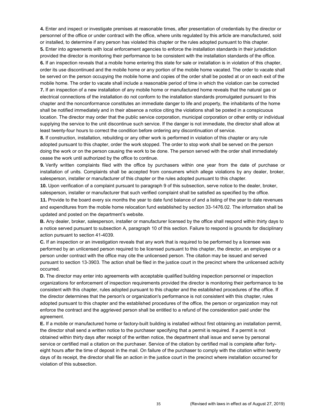**4.** Enter and inspect or investigate premises at reasonable times, after presentation of credentials by the director or personnel of the office or under contract with the office, where units regulated by this article are manufactured, sold or installed, to determine if any person has violated this chapter or the rules adopted pursuant to this chapter.

**5.** Enter into agreements with local enforcement agencies to enforce the installation standards in their jurisdiction provided the director is monitoring their performance to be consistent with the installation standards of the office. **6.** If an inspection reveals that a mobile home entering this state for sale or installation is in violation of this chapter, order its use discontinued and the mobile home or any portion of the mobile home vacated. The order to vacate shall be served on the person occupying the mobile home and copies of the order shall be posted at or on each exit of the mobile home. The order to vacate shall include a reasonable period of time in which the violation can be corrected **7.** If an inspection of a new installation of any mobile home or manufactured home reveals that the natural gas or electrical connections of the installation do not conform to the installation standards promulgated pursuant to this chapter and the nonconformance constitutes an immediate danger to life and property, the inhabitants of the home shall be notified immediately and in their absence a notice citing the violations shall be posted in a conspicuous location. The director may order that the public service corporation, municipal corporation or other entity or individual supplying the service to the unit discontinue such service. If the danger is not immediate, the director shall allow at least twenty-four hours to correct the condition before ordering any discontinuation of service.

**8.** If construction, installation, rebuilding or any other work is performed in violation of this chapter or any rule adopted pursuant to this chapter, order the work stopped. The order to stop work shall be served on the person doing the work or on the person causing the work to be done. The person served with the order shall immediately cease the work until authorized by the office to continue.

**9.** Verify written complaints filed with the office by purchasers within one year from the date of purchase or installation of units. Complaints shall be accepted from consumers which allege violations by any dealer, broker, salesperson, installer or manufacturer of this chapter or the rules adopted pursuant to this chapter.

**10.** Upon verification of a complaint pursuant to paragraph 9 of this subsection, serve notice to the dealer, broker, salesperson, installer or manufacturer that such verified complaint shall be satisfied as specified by the office.

**11.** Provide to the board every six months the year to date fund balance of and a listing of the year to date revenues and expenditures from the mobile home relocation fund established by section 33-1476.02. The information shall be updated and posted on the department's website.

**B.** Any dealer, broker, salesperson, installer or manufacturer licensed by the office shall respond within thirty days to a notice served pursuant to subsection A, paragraph 10 of this section. Failure to respond is grounds for disciplinary action pursuant to section 41-4039.

**C.** If an inspection or an investigation reveals that any work that is required to be performed by a licensee was performed by an unlicensed person required to be licensed pursuant to this chapter, the director, an employee or a person under contract with the office may cite the unlicensed person. The citation may be issued and served pursuant to section 13-3903. The action shall be filed in the justice court in the precinct where the unlicensed activity occurred.

**D.** The director may enter into agreements with acceptable qualified building inspection personnel or inspection organizations for enforcement of inspection requirements provided the director is monitoring their performance to be consistent with this chapter, rules adopted pursuant to this chapter and the established procedures of the office. If the director determines that the person's or organization's performance is not consistent with this chapter, rules adopted pursuant to this chapter and the established procedures of the office, the person or organization may not enforce the contract and the aggrieved person shall be entitled to a refund of the consideration paid under the agreement.

**E.** If a mobile or manufactured home or factory-built building is installed without first obtaining an installation permit, the director shall send a written notice to the purchaser specifying that a permit is required. If a permit is not obtained within thirty days after receipt of the written notice, the department shall issue and serve by personal service or certified mail a citation on the purchaser. Service of the citation by certified mail is complete after fortyeight hours after the time of deposit in the mail. On failure of the purchaser to comply with the citation within twenty days of its receipt, the director shall file an action in the justice court in the precinct where installation occurred for violation of this subsection.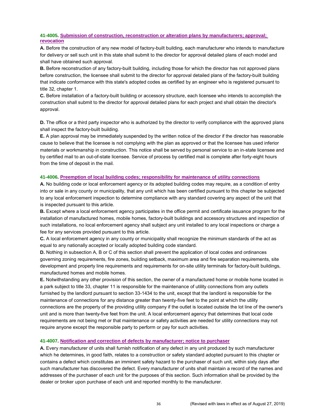## **41-4005. Submission of construction, reconstruction or alteration plans by manufacturers; approval; revocation**

**A.** Before the construction of any new model of factory-built building, each manufacturer who intends to manufacture for delivery or sell such unit in this state shall submit to the director for approval detailed plans of each model and shall have obtained such approval.

**B.** Before reconstruction of any factory-built building, including those for which the director has not approved plans before construction, the licensee shall submit to the director for approval detailed plans of the factory-built building that indicate conformance with this state's adopted codes as certified by an engineer who is registered pursuant to title 32, chapter 1.

**C.** Before installation of a factory-built building or accessory structure, each licensee who intends to accomplish the construction shall submit to the director for approval detailed plans for each project and shall obtain the director's approval.

**D.** The office or a third party inspector who is authorized by the director to verify compliance with the approved plans shall inspect the factory-built building.

**E.** A plan approval may be immediately suspended by the written notice of the director if the director has reasonable cause to believe that the licensee is not complying with the plan as approved or that the licensee has used inferior materials or workmanship in construction. This notice shall be served by personal service to an in-state licensee and by certified mail to an out-of-state licensee. Service of process by certified mail is complete after forty-eight hours from the time of deposit in the mail.

#### **41-4006. Preemption of local building codes; responsibility for maintenance of utility connections**

**A.** No building code or local enforcement agency or its adopted building codes may require, as a condition of entry into or sale in any county or municipality, that any unit which has been certified pursuant to this chapter be subjected to any local enforcement inspection to determine compliance with any standard covering any aspect of the unit that is inspected pursuant to this article.

**B.** Except where a local enforcement agency participates in the office permit and certificate issuance program for the installation of manufactured homes, mobile homes, factory-built buildings and accessory structures and inspection of such installations, no local enforcement agency shall subject any unit installed to any local inspections or charge a fee for any services provided pursuant to this article.

**C.** A local enforcement agency in any county or municipality shall recognize the minimum standards of the act as equal to any nationally accepted or locally adopted building code standard.

**D.** Nothing in subsection A, B or C of this section shall prevent the application of local codes and ordinances governing zoning requirements, fire zones, building setback, maximum area and fire separation requirements, site development and property line requirements and requirements for on-site utility terminals for factory-built buildings, manufactured homes and mobile homes.

**E.** Notwithstanding any other provision of this section, the owner of a manufactured home or mobile home located in a park subject to title 33, chapter 11 is responsible for the maintenance of utility connections from any outlets furnished by the landlord pursuant to section 33-1434 to the unit, except that the landlord is responsible for the maintenance of connections for any distance greater than twenty-five feet to the point at which the utility connections are the property of the providing utility company if the outlet is located outside the lot line of the owner's unit and is more than twenty-five feet from the unit. A local enforcement agency that determines that local code requirements are not being met or that maintenance or safety activities are needed for utility connections may not require anyone except the responsible party to perform or pay for such activities.

#### **41-4007. Notification and correction of defects by manufacturer; notice to purchaser**

**A.** Every manufacturer of units shall furnish notification of any defect in any unit produced by such manufacturer which he determines, in good faith, relates to a construction or safety standard adopted pursuant to this chapter or contains a defect which constitutes an imminent safety hazard to the purchaser of such unit, within sixty days after such manufacturer has discovered the defect. Every manufacturer of units shall maintain a record of the names and addresses of the purchaser of each unit for the purposes of this section. Such information shall be provided by the dealer or broker upon purchase of each unit and reported monthly to the manufacturer.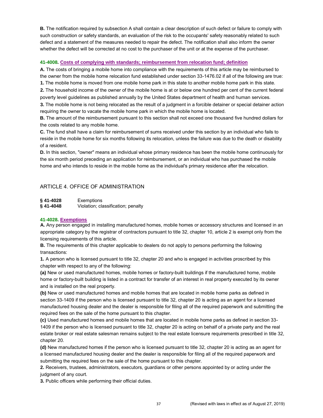**B.** The notification required by subsection A shall contain a clear description of such defect or failure to comply with such construction or safety standards, an evaluation of the risk to the occupants' safety reasonably related to such defect and a statement of the measures needed to repair the defect. The notification shall also inform the owner whether the defect will be corrected at no cost to the purchaser of the unit or at the expense of the purchaser.

#### **41-4008. Costs of complying with standards; reimbursement from relocation fund; definition**

**A.** The costs of bringing a mobile home into compliance with the requirements of this article may be reimbursed to the owner from the mobile home relocation fund established under section 33-1476.02 if all of the following are true:

**1.** The mobile home is moved from one mobile home park in this state to another mobile home park in this state. **2.** The household income of the owner of the mobile home is at or below one hundred per cent of the current federal

poverty level guidelines as published annually by the United States department of health and human services.

**3.** The mobile home is not being relocated as the result of a judgment in a forcible detainer or special detainer action requiring the owner to vacate the mobile home park in which the mobile home is located.

**B.** The amount of the reimbursement pursuant to this section shall not exceed one thousand five hundred dollars for the costs related to any mobile home.

**C.** The fund shall have a claim for reimbursement of sums received under this section by an individual who fails to reside in the mobile home for six months following its relocation, unless the failure was due to the death or disability of a resident.

**D.** In this section, "owner" means an individual whose primary residence has been the mobile home continuously for the six month period preceding an application for reimbursement, or an individual who has purchased the mobile home and who intends to reside in the mobile home as the individual's primary residence after the relocation.

## ARTICLE 4. OFFICE OF ADMINISTRATION

**§ 41-4028** Exemptions **§ 41-4048** Violation; classification; penalty

#### **41-4028. Exemptions**

**A.** Any person engaged in installing manufactured homes, mobile homes or accessory structures and licensed in an appropriate category by the registrar of contractors pursuant to title 32, chapter 10, article 2 is exempt only from the licensing requirements of this article.

**B.** The requirements of this chapter applicable to dealers do not apply to persons performing the following transactions:

**1.** A person who is licensed pursuant to title 32, chapter 20 and who is engaged in activities proscribed by this chapter with respect to any of the following:

**(a)** New or used manufactured homes, mobile homes or factory-built buildings if the manufactured home, mobile home or factory-built building is listed in a contract for transfer of an interest in real property executed by its owner and is installed on the real property.

**(b)** New or used manufactured homes and mobile homes that are located in mobile home parks as defined in section 33-1409 if the person who is licensed pursuant to title 32, chapter 20 is acting as an agent for a licensed manufactured housing dealer and the dealer is responsible for filing all of the required paperwork and submitting the required fees on the sale of the home pursuant to this chapter.

**(c)** Used manufactured homes and mobile homes that are located in mobile home parks as defined in section 33- 1409 if the person who is licensed pursuant to title 32, chapter 20 is acting on behalf of a private party and the real estate broker or real estate salesman remains subject to the real estate licensure requirements prescribed in title 32, chapter 20.

**(d)** New manufactured homes if the person who is licensed pursuant to title 32, chapter 20 is acting as an agent for a licensed manufactured housing dealer and the dealer is responsible for filing all of the required paperwork and submitting the required fees on the sale of the home pursuant to this chapter.

**2.** Receivers, trustees, administrators, executors, guardians or other persons appointed by or acting under the judgment of any court.

**3.** Public officers while performing their official duties.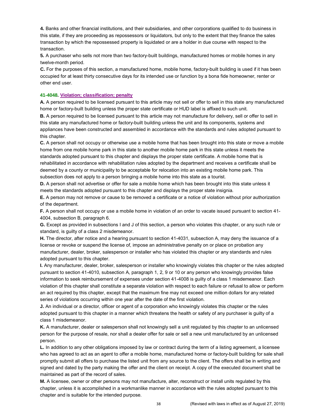**4.** Banks and other financial institutions, and their subsidiaries, and other corporations qualified to do business in this state, if they are proceeding as repossessors or liquidators, but only to the extent that they finance the sales transaction by which the repossessed property is liquidated or are a holder in due course with respect to the transaction.

**5.** A purchaser who sells not more than two factory-built buildings, manufactured homes or mobile homes in any twelve-month period.

**C.** For the purposes of this section, a manufactured home, mobile home, factory-built building is used if it has been occupied for at least thirty consecutive days for its intended use or function by a bona fide homeowner, renter or other end user.

#### **41-4048. Violation; classification; penalty**

**A.** A person required to be licensed pursuant to this article may not sell or offer to sell in this state any manufactured home or factory-built building unless the proper state certificate or HUD label is affixed to such unit.

**B.** A person required to be licensed pursuant to this article may not manufacture for delivery, sell or offer to sell in this state any manufactured home or factory-built building unless the unit and its components, systems and appliances have been constructed and assembled in accordance with the standards and rules adopted pursuant to this chapter.

**C.** A person shall not occupy or otherwise use a mobile home that has been brought into this state or move a mobile home from one mobile home park in this state to another mobile home park in this state unless it meets the standards adopted pursuant to this chapter and displays the proper state certificate. A mobile home that is rehabilitated in accordance with rehabilitation rules adopted by the department and receives a certificate shall be deemed by a county or municipality to be acceptable for relocation into an existing mobile home park. This subsection does not apply to a person bringing a mobile home into this state as a tourist.

**D.** A person shall not advertise or offer for sale a mobile home which has been brought into this state unless it meets the standards adopted pursuant to this chapter and displays the proper state insignia.

**E.** A person may not remove or cause to be removed a certificate or a notice of violation without prior authorization of the department.

**F.** A person shall not occupy or use a mobile home in violation of an order to vacate issued pursuant to section 41- 4004, subsection B, paragraph 6.

**G.** Except as provided in subsections I and J of this section, a person who violates this chapter, or any such rule or standard, is guilty of a class 2 misdemeanor.

**H.** The director, after notice and a hearing pursuant to section 41-4031, subsection A, may deny the issuance of a license or revoke or suspend the license of, impose an administrative penalty on or place on probation any manufacturer, dealer, broker, salesperson or installer who has violated this chapter or any standards and rules adopted pursuant to this chapter.

**I.** Any manufacturer, dealer, broker, salesperson or installer who knowingly violates this chapter or the rules adopted pursuant to section 41-4010, subsection A, paragraph 1, 2, 9 or 10 or any person who knowingly provides false information to seek reimbursement of expenses under section 41-4008 is guilty of a class 1 misdemeanor. Each violation of this chapter shall constitute a separate violation with respect to each failure or refusal to allow or perform an act required by this chapter, except that the maximum fine may not exceed one million dollars for any related series of violations occurring within one year after the date of the first violation.

**J.** An individual or a director, officer or agent of a corporation who knowingly violates this chapter or the rules adopted pursuant to this chapter in a manner which threatens the health or safety of any purchaser is guilty of a class 1 misdemeanor.

**K.** A manufacturer, dealer or salesperson shall not knowingly sell a unit regulated by this chapter to an unlicensed person for the purpose of resale, nor shall a dealer offer for sale or sell a new unit manufactured by an unlicensed person.

**L.** In addition to any other obligations imposed by law or contract during the term of a listing agreement, a licensee who has agreed to act as an agent to offer a mobile home, manufactured home or factory-built building for sale shall promptly submit all offers to purchase the listed unit from any source to the client. The offers shall be in writing and signed and dated by the party making the offer and the client on receipt. A copy of the executed document shall be maintained as part of the record of sales.

**M.** A licensee, owner or other persons may not manufacture, alter, reconstruct or install units regulated by this chapter, unless it is accomplished in a workmanlike manner in accordance with the rules adopted pursuant to this chapter and is suitable for the intended purpose.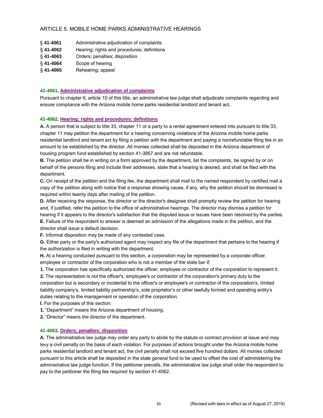## ARTICLE 5. MOBILE HOME PARKS ADMINISTRATIVE HEARINGS

| § 41-4061 | Administrative adjudication of complaints |  |
|-----------|-------------------------------------------|--|
|-----------|-------------------------------------------|--|

- § **41-4062** Hearing; rights and procedures; definitions
- § **41-4063** Orders; penalties; disposition
- § **41-4064** Scope of hearing

## § **41-4065** Rehearing; appeal

## **41-4061. Administrative adjudication of complaints**

Pursuant to chapter 6, article 10 of this title, an administrative law judge shall adjudicate complaints regarding and ensure compliance with the Arizona mobile home parks residential landlord and tenant act.

## **41-4062. Hearing; rights and procedures; definitions**

**A.** A person that is subject to title 33, chapter 11 or a party to a rental agreement entered into pursuant to title 33, chapter 11 may petition the department for a hearing concerning violations of the Arizona mobile home parks residential landlord and tenant act by filing a petition with the department and paying a nonrefundable filing fee in an amount to be established by the director. All monies collected shall be deposited in the Arizona department of housing program fund established by section 41-3957 and are not refundable.

**B.** The petition shall be in writing on a form approved by the department, list the complaints, be signed by or on behalf of the persons filing and include their addresses, state that a hearing is desired, and shall be filed with the department.

**C.** On receipt of the petition and the filing fee, the department shall mail to the named respondent by certified mail a copy of the petition along with notice that a response showing cause, if any, why the petition should be dismissed is required within twenty days after mailing of the petition.

**D.** After receiving the response, the director or the director's designee shall promptly review the petition for hearing and, if justified, refer the petition to the office of administrative hearings. The director may dismiss a petition for hearing if it appears to the director's satisfaction that the disputed issue or issues have been resolved by the parties. **E.** Failure of the respondent to answer is deemed an admission of the allegations made in the petition, and the director shall issue a default decision.

**F.** Informal disposition may be made of any contested case.

**G.** Either party or the party's authorized agent may inspect any file of the department that pertains to the hearing if the authorization is filed in writing with the department.

**H.** At a hearing conducted pursuant to this section, a corporation may be represented by a corporate officer, employee or contractor of the corporation who is not a member of the state bar if:

**1.** The corporation has specifically authorized the officer, employee or contractor of the corporation to represent it. **2.** The representation is not the officer's, employee's or contractor of the corporation's primary duty to the

corporation but is secondary or incidental to the officer's or employee's or contractor of the corporation's, limited liability company's, limited liability partnership's, sole proprietor's or other lawfully formed and operating entity's duties relating to the management or operation of the corporation.

**I.** For the purposes of this section:

**1.** "Department" means the Arizona department of housing.

**2.** "Director" means the director of the department.

#### **41-4063. Orders; penalties; disposition**

**A.** The administrative law judge may order any party to abide by the statute or contract provision at issue and may levy a civil penalty on the basis of each violation. For purposes of actions brought under the Arizona mobile home parks residential landlord and tenant act, the civil penalty shall not exceed five hundred dollars. All monies collected pursuant to this article shall be deposited in the state general fund to be used to offset the cost of administering the administrative law judge function. If the petitioner prevails, the administrative law judge shall order the respondent to pay to the petitioner the filing fee required by section 41-4062.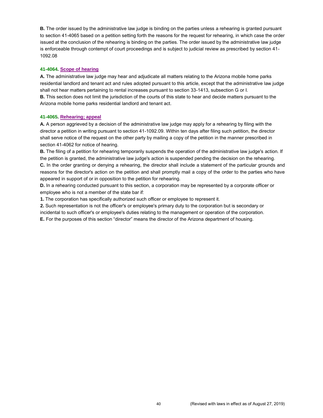**B.** The order issued by the administrative law judge is binding on the parties unless a rehearing is granted pursuant to section 41-4065 based on a petition setting forth the reasons for the request for rehearing, in which case the order issued at the conclusion of the rehearing is binding on the parties. The order issued by the administrative law judge is enforceable through contempt of court proceedings and is subject to judicial review as prescribed by section 41- 1092.08

#### **41-4064. Scope of hearing**

**A.** The administrative law judge may hear and adjudicate all matters relating to the Arizona mobile home parks residential landlord and tenant act and rules adopted pursuant to this article, except that the administrative law judge shall not hear matters pertaining to rental increases pursuant to section 33-1413, subsection G or I. **B.** This section does not limit the jurisdiction of the courts of this state to hear and decide matters pursuant to the Arizona mobile home parks residential landlord and tenant act.

## **41-4065. Rehearing; appeal**

**A.** A person aggrieved by a decision of the administrative law judge may apply for a rehearing by filing with the director a petition in writing pursuant to section 41-1092.09. Within ten days after filing such petition, the director shall serve notice of the request on the other party by mailing a copy of the petition in the manner prescribed in section 41-4062 for notice of hearing.

**B.** The filing of a petition for rehearing temporarily suspends the operation of the administrative law judge's action. If the petition is granted, the administrative law judge's action is suspended pending the decision on the rehearing. **C.** In the order granting or denying a rehearing, the director shall include a statement of the particular grounds and reasons for the director's action on the petition and shall promptly mail a copy of the order to the parties who have appeared in support of or in opposition to the petition for rehearing.

**D.** In a rehearing conducted pursuant to this section, a corporation may be represented by a corporate officer or employee who is not a member of the state bar if:

**1.** The corporation has specifically authorized such officer or employee to represent it.

**2.** Such representation is not the officer's or employee's primary duty to the corporation but is secondary or incidental to such officer's or employee's duties relating to the management or operation of the corporation.

**E.** For the purposes of this section "director" means the director of the Arizona department of housing.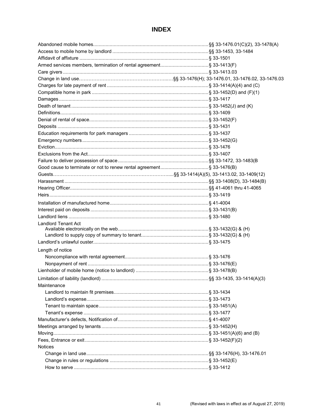# **INDEX**

| <b>Landlord Tenant Act</b> |  |
|----------------------------|--|
|                            |  |
|                            |  |
|                            |  |
| Length of notice           |  |
|                            |  |
|                            |  |
|                            |  |
|                            |  |
| Maintenance                |  |
|                            |  |
|                            |  |
|                            |  |
|                            |  |
|                            |  |
|                            |  |
|                            |  |
|                            |  |
| <b>Notices</b>             |  |
|                            |  |
|                            |  |
|                            |  |
|                            |  |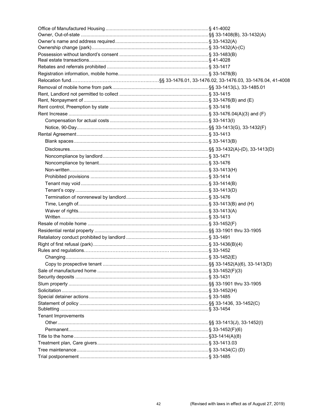| <b>Tenant Improvements</b> |  |
|----------------------------|--|
|                            |  |
|                            |  |
|                            |  |
|                            |  |
|                            |  |
|                            |  |
|                            |  |